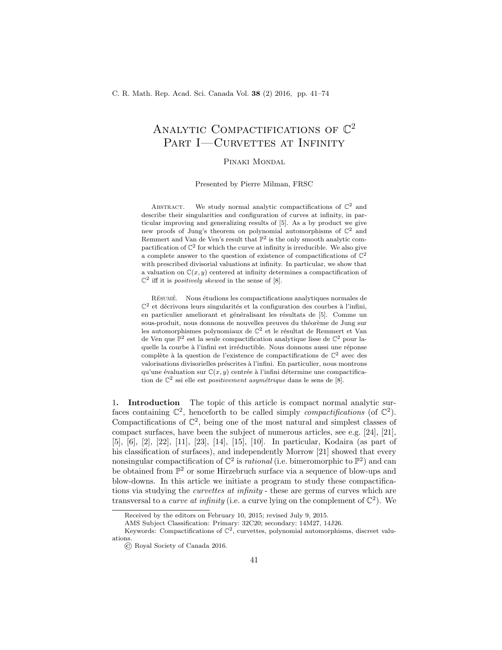# ANALYTIC COMPACTIFICATIONS OF  $\mathbb{C}^2$ PART I—CURVETTES AT INFINITY

#### Pinaki Mondal

Presented by Pierre Milman, FRSC

ABSTRACT. We study normal analytic compactifications of  $\mathbb{C}^2$  and describe their singularities and configuration of curves at infinity, in particular improving and generalizing results of [5]. As a by product we give new proofs of Jung's theorem on polynomial automorphisms of  $\mathbb{C}^2$  and Remmert and Van de Ven's result that  $\mathbb{P}^2$  is the only smooth analytic compactification of  $\mathbb{C}^2$  for which the curve at infinity is irreducible. We also give a complete answer to the question of existence of compactifications of  $\mathbb{C}^2$ with prescribed divisorial valuations at infinity. In particular, we show that a valuation on  $\mathbb{C}(x, y)$  centered at infinity determines a compactification of  $\mathbb{C}^2$  iff it is *positively skewed* in the sense of [8].

RÉSUMÉ. Nous étudions les compactifications analytiques normales de  $\mathbb{C}^2$  et décrivons leurs singularités et la configuration des courbes à l'infini, en particulier ameliorant et généralisant les résultats de [5]. Comme un sous-produit, nous donnons de nouvelles preuves du théorème de Jung sur les automorphismes polynomiaux de  $\mathbb{C}^2$  et le résultat de Remmert et Van de Ven que  $\mathbb{P}^2$  est la seule compactification analytique lisse de  $\mathbb{C}^2$  pour laquelle la courbe à l'infini est irréductible. Nous donnons aussi une réponse complète à la question de l'existence de compactifications de  $\mathbb{C}^2$  avec des valorisations divisorielles préscrites à l'infini. En particulier, nous montrons qu'une évaluation sur  $\mathbb{C}(x, y)$  centrée à l'infini détermine une compactification de  $\mathbb{C}^2$  ssi elle est *positivement asymétrique* dans le sens de [8].

1. Introduction The topic of this article is compact normal analytic surfaces containing  $\mathbb{C}^2$ , henceforth to be called simply *compactifications* (of  $\mathbb{C}^2$ ). Compactifications of  $\mathbb{C}^2$ , being one of the most natural and simplest classes of compact surfaces, have been the subject of numerous articles, see e.g. [24], [21], [5], [6], [2], [22], [11], [23], [14], [15], [10]. In particular, Kodaira (as part of his classification of surfaces), and independently Morrow [21] showed that every nonsingular compactification of  $\mathbb{C}^2$  is *rational* (i.e. bimeromorphic to  $\mathbb{P}^2$ ) and can be obtained from  $\mathbb{P}^2$  or some Hirzebruch surface via a sequence of blow-ups and blow-downs. In this article we initiate a program to study these compactifications via studying the *curvettes at infinity* - these are germs of curves which are transversal to a *curve at infinity* (i.e. a curve lying on the complement of  $\mathbb{C}^2$ ). We

Received by the editors on February 10, 2015; revised July 9, 2015.

AMS Subject Classification: Primary: 32C20; secondary: 14M27, 14J26.

Keywords: Compactifications of  $\mathbb{C}^2$ , curvettes, polynomial automorphisms, discreet valuations.

<sup>©</sup> Royal Society of Canada 2016.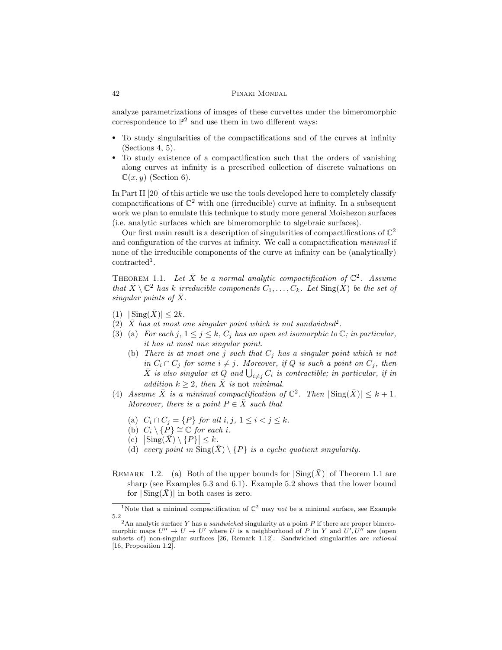analyze parametrizations of images of these curvettes under the bimeromorphic correspondence to  $\mathbb{P}^2$  and use them in two different ways:

- To study singularities of the compactifications and of the curves at infinity (Sections 4, 5).
- To study existence of a compactification such that the orders of vanishing along curves at infinity is a prescribed collection of discrete valuations on  $\mathbb{C}(x, y)$  (Section 6).

In Part II [20] of this article we use the tools developed here to completely classify compactifications of  $\mathbb{C}^2$  with one (irreducible) curve at infinity. In a subsequent work we plan to emulate this technique to study more general Moishezon surfaces (i.e. analytic surfaces which are bimeromorphic to algebraic surfaces).

Our first main result is a description of singularities of compactifications of  $\mathbb{C}^2$ and configuration of the curves at infinity. We call a compactification minimal if none of the irreducible components of the curve at infinity can be (analytically) contracted<sup>1</sup>.

THEOREM 1.1. Let  $\bar{X}$  be a normal analytic compactification of  $\mathbb{C}^2$ . Assume that  $\bar{X} \setminus \mathbb{C}^2$  has k irreducible components  $C_1, \ldots, C_k$ . Let  $\text{Sing}(\bar{X})$  be the set of singular points of  $\bar{X}$ .

- $(1)$   $|\operatorname{Sing}(\overline{X})| \leq 2k$ .
- $(2)$   $\overline{X}$  has at most one singular point which is not sandwiched<sup>2</sup>.
- (3) (a) For each j,  $1 \leq j \leq k$ ,  $C_j$  has an open set isomorphic to  $\mathbb{C}$ ; in particular, it has at most one singular point.
	- (b) There is at most one j such that  $C_j$  has a singular point which is not in  $C_i \cap C_j$  for some  $i \neq j$ . Moreover, if Q is such a point on  $C_j$ , then  $\bar{X}$  is also singular at  $\hat{Q}$  and  $\bigcup_{i \neq j} C_i$  is contractible; in particular, if in addition  $k \geq 2$ , then  $\overline{X}$  is not minimal.
- (4) Assume  $\overline{X}$  is a minimal compactification of  $\mathbb{C}^2$ . Then  $|\operatorname{Sing}(\overline{X})| \leq k+1$ . Moreover, there is a point  $P \in \overline{X}$  such that
	- (a)  $C_i \cap C_j = \{P\}$  for all  $i, j, 1 \le i < j \le k$ .
	- (b)  $C_i \setminus {\overline{P}} \cong {\mathbb C}$  for each i.
	- $\overline{\text{(c)}} \quad |\text{Sing}(\overline{X}) \setminus \{P\}| \leq k.$
	- (d) every point in  $\text{Sing}(\bar{X}) \setminus \{P\}$  is a cyclic quotient singularity.
- REMARK 1.2. (a) Both of the upper bounds for  $|\text{Sing}(\bar{X})|$  of Theorem 1.1 are sharp (see Examples 5.3 and 6.1). Example 5.2 shows that the lower bound for  $|\operatorname{Sing}(\overline{X})|$  in both cases is zero.

<sup>&</sup>lt;sup>1</sup>Note that a minimal compactification of  $\mathbb{C}^2$  may not be a minimal surface, see Example 5.2

<sup>&</sup>lt;sup>2</sup>An analytic surface Y has a *sandwiched* singularity at a point P if there are proper bimeromorphic maps  $U'' \to U \to U'$  where U is a neighborhood of P in Y and  $U', U''$  are (open subsets of) non-singular surfaces [26, Remark 1.12]. Sandwiched singularities are rational [16, Proposition 1.2].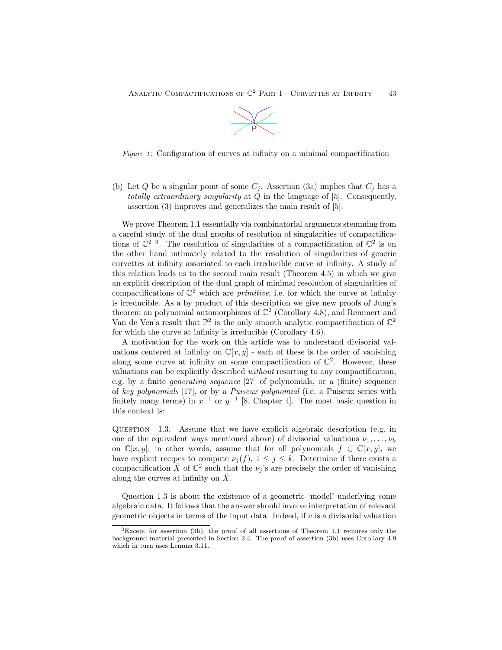

Figure 1: Configuration of curves at infinity on a minimal compactification

(b) Let Q be a singular point of some  $C_j$ . Assertion (3a) implies that  $C_j$  has a totally extraordinary singularity at  $\dot{Q}$  in the language of [5]. Consequently, assertion (3) improves and generalizes the main result of [5].

We prove Theorem 1.1 essentially via combinatorial arguments stemming from a careful study of the dual graphs of resolution of singularities of compactifications of  $\mathbb{C}^2$ <sup>3</sup>. The resolution of singularities of a compactification of  $\mathbb{C}^2$  is on the other hand intimately related to the resolution of singularities of generic curvettes at infinity associated to each irreducible curve at infinity. A study of this relation leads us to the second main result (Theorem 4.5) in which we give an explicit description of the dual graph of minimal resolution of singularities of compactifications of  $\mathbb{C}^2$  which are *primitive*, i.e. for which the curve at infinity is irreducible. As a by product of this description we give new proofs of Jung's theorem on polynomial automorphisms of  $\mathbb{C}^2$  (Corollary 4.8), and Remmert and Van de Ven's result that  $\mathbb{P}^2$  is the only smooth analytic compactification of  $\mathbb{C}^2$ for which the curve at infinity is irreducible (Corollary 4.6).

A motivation for the work on this article was to understand divisorial valuations centered at infinity on  $\mathbb{C}[x, y]$  - each of these is the order of vanishing along some curve at infinity on some compactification of  $\mathbb{C}^2$ . However, these valuations can be explicitly described without resorting to any compactification, e.g. by a finite generating sequence [27] of polynomials, or a (finite) sequence of key polynomials [17], or by a Puiseux polynomial (i.e. a Puiseux series with finitely many terms) in  $x^{-1}$  or  $y^{-1}$  [8, Chapter 4]. The most basic question in this context is:

QUESTION 1.3. Assume that we have explicit algebraic description (e.g. in one of the equivalent ways mentioned above) of divisorial valuations  $\nu_1, \ldots, \nu_k$ on  $\mathbb{C}[x, y]$ ; in other words, assume that for all polynomials  $f \in \mathbb{C}[x, y]$ , we have explicit recipes to compute  $\nu_i(f)$ ,  $1 \leq j \leq k$ . Determine if there exists a compactification  $\bar{X}$  of  $\mathbb{C}^2$  such that the  $\nu_j$ 's are precisely the order of vanishing along the curves at infinity on  $\bar{X}$ .

Question 1.3 is about the existence of a geometric 'model' underlying some algebraic data. It follows that the answer should involve interpretation of relevant geometric objects in terms of the input data. Indeed, if  $\nu$  is a divisorial valuation

<sup>&</sup>lt;sup>3</sup>Except for assertion (3b), the proof of all assertions of Theorem 1.1 requires only the background material presented in Section 2.4. The proof of assertion (3b) uses Corollary 4.9 which in turn uses Lemma 3.11.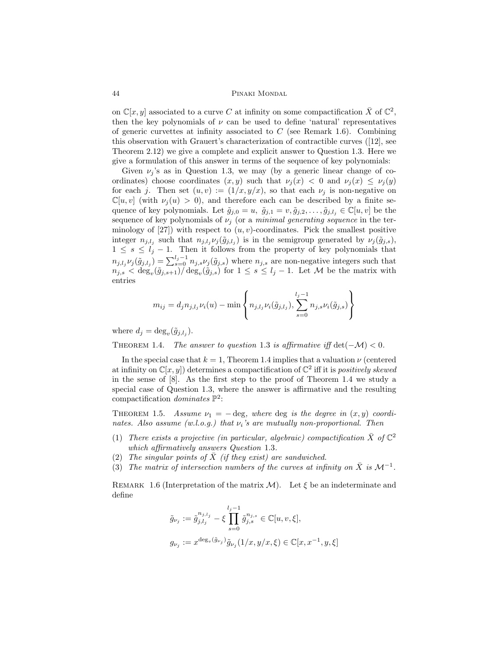on  $\mathbb{C}[x, y]$  associated to a curve C at infinity on some compactification  $\bar{X}$  of  $\mathbb{C}^2$ , then the key polynomials of  $\nu$  can be used to define 'natural' representatives of generic curvettes at infinity associated to  $C$  (see Remark 1.6). Combining this observation with Grauert's characterization of contractible curves ([12], see Theorem 2.12) we give a complete and explicit answer to Question 1.3. Here we give a formulation of this answer in terms of the sequence of key polynomials:

Given  $\nu_i$ 's as in Question 1.3, we may (by a generic linear change of coordinates) choose coordinates  $(x, y)$  such that  $\nu_i(x) < 0$  and  $\nu_i(x) \leq \nu_i(y)$ for each j. Then set  $(u, v) := (1/x, y/x)$ , so that each  $\nu_j$  is non-negative on  $\mathbb{C}[u, v]$  (with  $\nu_i(u) > 0$ ), and therefore each can be described by a finite sequence of key polynomials. Let  $\tilde{g}_{j,0} = u$ ,  $\tilde{g}_{j,1} = v$ ,  $\tilde{g}_{j,2}, \ldots, \tilde{g}_{j,l_j} \in \mathbb{C}[u, v]$  be the sequence of key polynomials of  $\nu_j$  (or a *minimal generating sequence* in the terminology of  $[27]$ ) with respect to  $(u, v)$ -coordinates. Pick the smallest positive integer  $n_{j,l_j}$  such that  $n_{j,l_j} \nu_j(\tilde{g}_{j,l_j})$  is in the semigroup generated by  $\nu_j(\tilde{g}_{j,s})$ ,  $1 \leq s \leq l<sub>j</sub> - 1$ . Then it follows from the property of key polynomials that  $n_{j,l_j}\nu_j(\tilde{g}_{j,l_j}) = \sum_{s=0}^{l_j-1} n_{j,s}\nu_j(\tilde{g}_{j,s})$  where  $n_{j,s}$  are non-negative integers such that  $n_{j,s} < \deg_v(\tilde{g}_{j,s+1})/\deg_v(\tilde{g}_{j,s})$  for  $1 \leq s \leq l_j-1$ . Let M be the matrix with entries

$$
m_{ij} = d_j n_{j,l_j} \nu_i(u) - \min \left\{ n_{j,l_j} \nu_i(\tilde{g}_{j,l_j}), \sum_{s=0}^{l_j-1} n_{j,s} \nu_i(\tilde{g}_{j,s}) \right\}
$$

where  $d_j = \deg_v(\tilde{g}_{j,l_j}).$ 

THEOREM 1.4. The answer to question 1.3 is affirmative iff  $\det(-\mathcal{M}) < 0$ .

In the special case that  $k = 1$ , Theorem 1.4 implies that a valuation  $\nu$  (centered at infinity on  $\mathbb{C}[x, y]$  determines a compactification of  $\mathbb{C}^2$  iff it is positively skewed in the sense of [8]. As the first step to the proof of Theorem 1.4 we study a special case of Question 1.3, where the answer is affirmative and the resulting compactification dominates  $\mathbb{P}^2$ :

THEOREM 1.5. Assume  $\nu_1 = -\deg$ , where deg is the degree in  $(x, y)$  coordinates. Also assume (w.l.o.g.) that  $\nu_i$ 's are mutually non-proportional. Then

- (1) There exists a projective (in particular, algebraic) compactification  $\bar{X}$  of  $\mathbb{C}^2$ which affirmatively answers Question 1.3.
- (2) The singular points of  $\overline{X}$  (if they exist) are sandwiched.
- (3) The matrix of intersection numbers of the curves at infinity on  $\overline{X}$  is  $\mathcal{M}^{-1}$ .

REMARK 1.6 (Interpretation of the matrix  $\mathcal{M}$ ). Let  $\xi$  be an indeterminate and define

$$
\tilde{g}_{\nu_j} := \tilde{g}_{j,l_j}^{n_{j,l_j}} - \xi \prod_{s=0}^{l_j - 1} \tilde{g}_{j,s}^{n_{j,s}} \in \mathbb{C}[u, v, \xi],
$$
  

$$
g_{\nu_j} := x^{\deg_v(\tilde{g}_{\nu_j})} \tilde{g}_{\nu_j}(1/x, y/x, \xi) \in \mathbb{C}[x, x^{-1}, y, \xi]
$$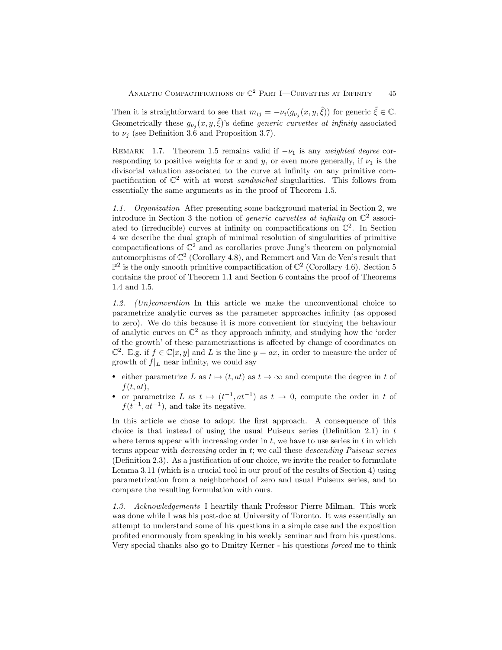Then it is straightforward to see that  $m_{ij} = -\nu_i(g_{\nu_j}(x, y, \tilde{\xi}))$  for generic  $\tilde{\xi} \in \mathbb{C}$ . Geometrically these  $g_{\nu_j}(x, y, \tilde{\xi})$ 's define *generic curvettes at infinity* associated to  $\nu_i$  (see Definition 3.6 and Proposition 3.7).

REMARK 1.7. Theorem 1.5 remains valid if  $-\nu_1$  is any weighted degree corresponding to positive weights for x and y, or even more generally, if  $\nu_1$  is the divisorial valuation associated to the curve at infinity on any primitive compactification of  $\mathbb{C}^2$  with at worst *sandwiched* singularities. This follows from essentially the same arguments as in the proof of Theorem 1.5.

1.1. Organization After presenting some background material in Section 2, we introduce in Section 3 the notion of *generic curvettes at infinity* on  $\mathbb{C}^2$  associated to (irreducible) curves at infinity on compactifications on  $\mathbb{C}^2$ . In Section 4 we describe the dual graph of minimal resolution of singularities of primitive compactifications of  $\mathbb{C}^2$  and as corollaries prove Jung's theorem on polynomial automorphisms of  $\mathbb{C}^2$  (Corollary 4.8), and Remmert and Van de Ven's result that  $\mathbb{P}^2$  is the only smooth primitive compactification of  $\mathbb{C}^2$  (Corollary 4.6). Section 5 contains the proof of Theorem 1.1 and Section 6 contains the proof of Theorems 1.4 and 1.5.

1.2. (Un)convention In this article we make the unconventional choice to parametrize analytic curves as the parameter approaches infinity (as opposed to zero). We do this because it is more convenient for studying the behaviour of analytic curves on  $\mathbb{C}^2$  as they approach infinity, and studying how the 'order of the growth' of these parametrizations is affected by change of coordinates on  $\mathbb{C}^2$ . E.g. if  $f \in \mathbb{C}[x, y]$  and L is the line  $y = ax$ , in order to measure the order of growth of  $f|_L$  near infinity, we could say

- either parametrize L as  $t \mapsto (t, at)$  as  $t \to \infty$  and compute the degree in t of  $f(t, at),$
- or parametrize L as  $t \mapsto (t^{-1}, at^{-1})$  as  $t \to 0$ , compute the order in t of  $f(t^{-1}, at^{-1})$ , and take its negative.

In this article we chose to adopt the first approach. A consequence of this choice is that instead of using the usual Puiseux series (Definition 2.1) in  $t$ where terms appear with increasing order in  $t$ , we have to use series in  $t$  in which terms appear with decreasing order in t; we call these descending Puiseux series (Definition 2.3). As a justification of our choice, we invite the reader to formulate Lemma 3.11 (which is a crucial tool in our proof of the results of Section 4) using parametrization from a neighborhood of zero and usual Puiseux series, and to compare the resulting formulation with ours.

1.3. Acknowledgements I heartily thank Professor Pierre Milman. This work was done while I was his post-doc at University of Toronto. It was essentially an attempt to understand some of his questions in a simple case and the exposition profited enormously from speaking in his weekly seminar and from his questions. Very special thanks also go to Dmitry Kerner - his questions forced me to think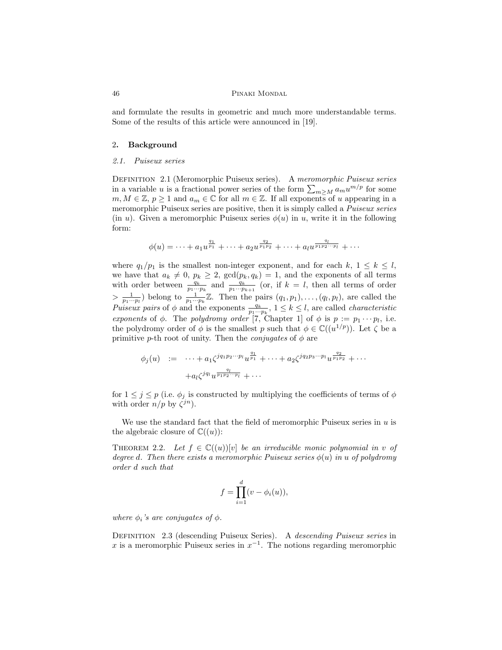and formulate the results in geometric and much more understandable terms. Some of the results of this article were announced in [19].

#### 2. Background

### 2.1. Puiseux series

Definition 2.1 (Meromorphic Puiseux series). A meromorphic Puiseux series in a variable u is a fractional power series of the form  $\sum_{m\geq M} a_m u^{m/p}$  for some  $m, M \in \mathbb{Z}, p \geq 1$  and  $a_m \in \mathbb{C}$  for all  $m \in \mathbb{Z}$ . If all exponents of u appearing in a meromorphic Puiseux series are positive, then it is simply called a *Puiseux series* (in u). Given a meromorphic Puiseux series  $\phi(u)$  in u, write it in the following form:

$$
\phi(u) = \cdots + a_1 u^{\frac{q_1}{p_1}} + \cdots + a_2 u^{\frac{q_2}{p_1 p_2}} + \cdots + a_l u^{\frac{q_l}{p_1 p_2 \cdots p_l}} + \cdots
$$

where  $q_1/p_1$  is the smallest non-integer exponent, and for each  $k, 1 \leq k \leq l$ , we have that  $a_k \neq 0, p_k \geq 2$ ,  $gcd(p_k, q_k) = 1$ , and the exponents of all terms with order between  $\frac{q_k}{p_1\cdots p_k}$  and  $\frac{q_k}{p_1\cdots p_{k+1}}$  (or, if  $k = l$ , then all terms of order  $> \frac{1}{p_1 \cdots p_l}$  belong to  $\frac{1}{p_1 \cdots p_k} \mathbb{Z}$ . Then the pairs  $(q_1, p_1), \ldots, (q_l, p_l)$ , are called the Puiseux pairs of  $\phi$  and the exponents  $\frac{q_k}{p_1\cdots p_k}$ ,  $1 \leq k \leq l$ , are called *characteristic* exponents of  $\phi$ . The polydromy order [7, Chapter 1] of  $\phi$  is  $p := p_1 \cdots p_l$ , i.e. the polydromy order of  $\phi$  is the smallest p such that  $\phi \in \mathbb{C}((u^{1/p}))$ . Let  $\zeta$  be a primitive p-th root of unity. Then the *conjugates* of  $\phi$  are

$$
\phi_j(u) := \cdots + a_1 \zeta^{jq_1 p_2 \cdots p_l} u^{\frac{q_1}{p_1}} + \cdots + a_2 \zeta^{jq_2 p_3 \cdots p_l} u^{\frac{q_2}{p_1 p_2}} + \cdots + a_l \zeta^{jq_l} u^{\frac{q_l}{p_1 p_2 \cdots p_l}} + \cdots
$$

for  $1 \leq j \leq p$  (i.e.  $\phi_j$  is constructed by multiplying the coefficients of terms of  $\phi$ with order  $n/p$  by  $\zeta^{jn}$ ).

We use the standard fact that the field of meromorphic Puiseux series in  $u$  is the algebraic closure of  $\mathbb{C}((u))$ :

THEOREM 2.2. Let  $f \in \mathbb{C}((u))[v]$  be an irreducible monic polynomial in v of degree d. Then there exists a meromorphic Puiseux series  $\phi(u)$  in u of polydromy order d such that

$$
f = \prod_{i=1}^{d} (v - \phi_i(u)),
$$

where  $\phi_i$ 's are conjugates of  $\phi$ .

Definition 2.3 (descending Puiseux Series). A descending Puiseux series in x is a meromorphic Puiseux series in  $x^{-1}$ . The notions regarding meromorphic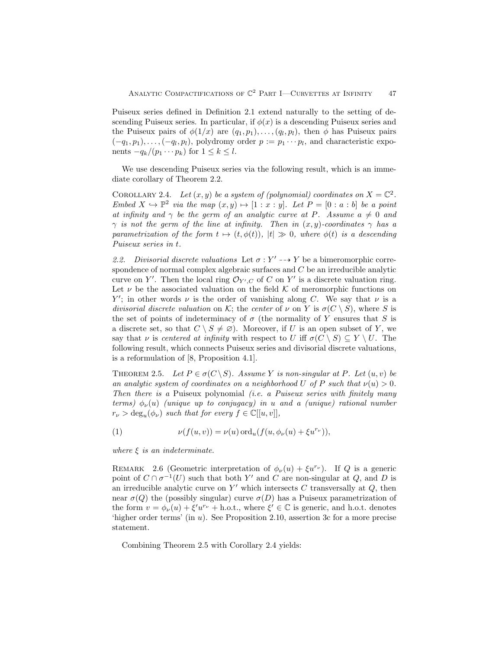Puiseux series defined in Definition 2.1 extend naturally to the setting of descending Puiseux series. In particular, if  $\phi(x)$  is a descending Puiseux series and the Puiseux pairs of  $\phi(1/x)$  are  $(q_1, p_1), \ldots, (q_l, p_l)$ , then  $\phi$  has Puiseux pairs  $(-q_1, p_1), \ldots, (-q_l, p_l)$ , polydromy order  $p := p_1 \cdots p_l$ , and characteristic exponents  $-q_k/(p_1 \cdots p_k)$  for  $1 \leq k \leq l$ .

We use descending Puiseux series via the following result, which is an immediate corollary of Theorem 2.2.

COROLLARY 2.4. Let  $(x, y)$  be a system of (polynomial) coordinates on  $X = \mathbb{C}^2$ . Embed  $X \hookrightarrow \mathbb{P}^2$  via the map  $(x, y) \mapsto [1 : x : y]$ . Let  $P = [0 : a : b]$  be a point at infinity and  $\gamma$  be the germ of an analytic curve at P. Assume  $a \neq 0$  and  $\gamma$  is not the germ of the line at infinity. Then in  $(x, y)$ -coordinates  $\gamma$  has a parametrization of the form  $t \mapsto (t, \phi(t)),$   $|t| \gg 0$ , where  $\phi(t)$  is a descending Puiseux series in t.

2.2. Divisorial discrete valuations Let  $\sigma: Y' \dashrightarrow Y$  be a bimeromorphic correspondence of normal complex algebraic surfaces and  $C$  be an irreducible analytic curve on Y'. Then the local ring  $\mathcal{O}_{Y',C}$  of C on Y' is a discrete valuation ring. Let  $\nu$  be the associated valuation on the field K of meromorphic functions on Y'; in other words  $\nu$  is the order of vanishing along C. We say that  $\nu$  is a divisorial discrete valuation on K; the center of  $\nu$  on Y is  $\sigma(C \setminus S)$ , where S is the set of points of indeterminacy of  $\sigma$  (the normality of Y ensures that S is a discrete set, so that  $C \setminus S \neq \emptyset$ . Moreover, if U is an open subset of Y, we say that  $\nu$  is centered at infinity with respect to U iff  $\sigma(C \setminus S) \subseteq Y \setminus U$ . The following result, which connects Puiseux series and divisorial discrete valuations, is a reformulation of [8, Proposition 4.1].

THEOREM 2.5. Let  $P \in \sigma(C \backslash S)$ . Assume Y is non-singular at P. Let  $(u, v)$  be an analytic system of coordinates on a neighborhood U of P such that  $\nu(u) > 0$ . Then there is a Puiseux polynomial *(i.e. a Puiseux series with finitely many* terms)  $\phi_{\nu}(u)$  (unique up to conjugacy) in u and a (unique) rational number  $r_{\nu} > \deg_u(\phi_{\nu})$  such that for every  $f \in \mathbb{C}[[u, v]],$ 

(1) 
$$
\nu(f(u,v)) = \nu(u) \operatorname{ord}_u(f(u,\phi_\nu(u) + \xi u^{r_\nu})),
$$

where  $\xi$  is an indeterminate.

REMARK 2.6 (Geometric interpretation of  $\phi_{\nu}(u) + \xi u^{r_{\nu}}$ ). If Q is a generic point of  $C \cap \sigma^{-1}(U)$  such that both Y' and C are non-singular at Q, and D is an irreducible analytic curve on  $Y'$  which intersects C transversally at  $Q$ , then near  $\sigma(Q)$  the (possibly singular) curve  $\sigma(D)$  has a Puiseux parametrization of the form  $v = \phi_{\nu}(u) + \xi' u^{r_{\nu}} + \text{h.o.t., where } \xi' \in \mathbb{C}$  is generic, and h.o.t. denotes 'higher order terms' (in u). See Proposition 2.10, assertion 3c for a more precise statement.

Combining Theorem 2.5 with Corollary 2.4 yields: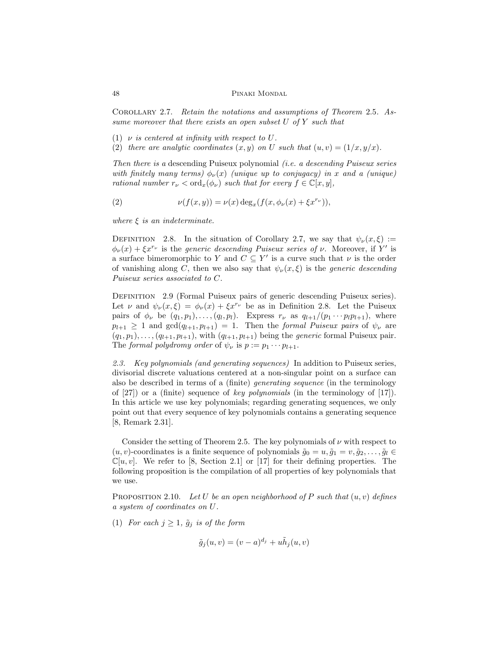Corollary 2.7. Retain the notations and assumptions of Theorem 2.5. Assume moreover that there exists an open subset  $U$  of  $Y$  such that

- (1)  $\nu$  is centered at infinity with respect to U.
- (2) there are analytic coordinates  $(x, y)$  on U such that  $(u, v) = (1/x, y/x)$ .

Then there is a descending Puiseux polynomial (i.e. a descending Puiseux series with finitely many terms)  $\phi_{\nu}(x)$  (unique up to conjugacy) in x and a (unique) rational number  $r_{\nu} < \text{ord}_x(\phi_{\nu})$  such that for every  $f \in \mathbb{C}[x, y]$ ,

(2) 
$$
\nu(f(x,y)) = \nu(x) \deg_x(f(x, \phi_{\nu}(x) + \xi x^{r_{\nu}})),
$$

where  $\xi$  is an indeterminate.

DEFINITION 2.8. In the situation of Corollary 2.7, we say that  $\psi_{\nu}(x,\xi) :=$  $\phi_{\nu}(x) + \xi x^{r_{\nu}}$  is the *generic descending Puiseux series of*  $\nu$ . Moreover, if Y' is a surface bimeromorphic to Y and  $C \subseteq Y'$  is a curve such that  $\nu$  is the order of vanishing along C, then we also say that  $\psi_{\nu}(x,\xi)$  is the *generic descending* Puiseux series associated to C.

Definition 2.9 (Formal Puiseux pairs of generic descending Puiseux series). Let  $\nu$  and  $\psi_{\nu}(x,\xi) = \phi_{\nu}(x) + \xi x^{r_{\nu}}$  be as in Definition 2.8. Let the Puiseux pairs of  $\phi_{\nu}$  be  $(q_1, p_1), \ldots, (q_l, p_l)$ . Express  $r_{\nu}$  as  $q_{l+1}/(p_1 \cdots p_l p_{l+1})$ , where  $p_{l+1} \geq 1$  and  $gcd(q_{l+1}, p_{l+1}) = 1$ . Then the formal Puiseux pairs of  $\psi_{\nu}$  are  $(q_1, p_1), \ldots, (q_{l+1}, p_{l+1}),$  with  $(q_{l+1}, p_{l+1})$  being the *generic* formal Puiseux pair. The formal polydromy order of  $\psi_{\nu}$  is  $p := p_1 \cdots p_{l+1}$ .

2.3. Key polynomials (and generating sequences) In addition to Puiseux series, divisorial discrete valuations centered at a non-singular point on a surface can also be described in terms of a (finite) generating sequence (in the terminology of  $[27]$  or a (finite) sequence of *key polynomials* (in the terminology of  $[17]$ ). In this article we use key polynomials; regarding generating sequences, we only point out that every sequence of key polynomials contains a generating sequence [8, Remark 2.31].

Consider the setting of Theorem 2.5. The key polynomials of  $\nu$  with respect to  $(u, v)$ -coordinates is a finite sequence of polynomials  $\tilde{g}_0 = u, \tilde{g}_1 = v, \tilde{g}_2, \ldots, \tilde{g}_l \in$  $\mathbb{C}[u, v]$ . We refer to [8, Section 2.1] or [17] for their defining properties. The following proposition is the compilation of all properties of key polynomials that we use.

PROPOSITION 2.10. Let U be an open neighborhood of P such that  $(u, v)$  defines a system of coordinates on U.

(1) For each  $j \geq 1$ ,  $\tilde{g}_j$  is of the form

$$
\tilde{g}_j(u,v) = (v-a)^{d_j} + u\tilde{h}_j(u,v)
$$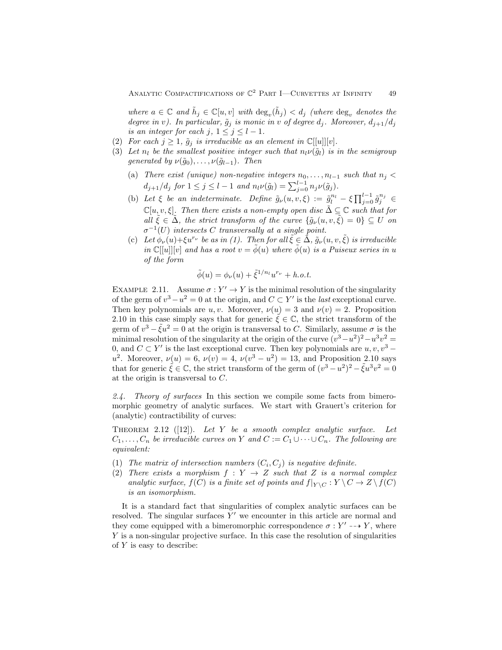where  $a \in \mathbb{C}$  and  $\tilde{h}_j \in \mathbb{C}[u, v]$  with  $\deg_v(\tilde{h}_j) < d_j$  (where  $\deg_v$  denotes the degree in v). In particular,  $\tilde{g}_i$  is monic in v of degree  $d_i$ . Moreover,  $d_{i+1}/d_i$ is an integer for each j,  $1 \le j \le l-1$ .

- (2) For each  $j \geq 1$ ,  $\tilde{g}_j$  is irreducible as an element in  $\mathbb{C}[[u]][v].$
- (3) Let  $n_l$  be the smallest positive integer such that  $n_l\nu(\tilde{g}_l)$  is in the semigroup generated by  $\nu(\tilde{g}_0), \ldots, \nu(\tilde{g}_{l-1})$ . Then
	- (a) There exist (unique) non-negative integers  $n_0, \ldots, n_{l-1}$  such that  $n_j <$  $d_{j+1}/d_j$  for  $1 \leq j \leq l-1$  and  $n_l \nu(\tilde{g}_l) = \sum_{j=0}^{l-1} n_j \nu(\tilde{g}_j)$ .
	- (b) Let  $\xi$  be an indeterminate. Define  $\tilde{g}_{\nu}(u, v, \xi) := \tilde{g}_{l}^{n_l} \xi \prod_{j=0}^{l-1} \tilde{g}_{j}^{n_j} \in$  $\mathbb{C}[u, v, \xi]$ . Then there exists a non-empty open disc  $\tilde{\Delta} \subseteq \mathbb{C}$  such that for all  $\tilde{\xi} \in \tilde{\Delta}$ , the strict transform of the curve  $\{\tilde{g}_{\nu}(u, v, \tilde{\xi}) = 0\} \subseteq U$  on  $\sigma^{-1}(U)$  intersects C transversally at a single point.
	- (c) Let  $\phi_{\nu}(u)+\xi u^{r_{\nu}}$  be as in (1). Then for all  $\tilde{\xi} \in \tilde{\Delta}$ ,  $\tilde{g}_{\nu}(u, v, \tilde{\xi})$  is irreducible in  $\mathbb{C}[[u]][v]$  and has a root  $v = \phi(u)$  where  $\phi(u)$  is a Puiseux series in u of the form

$$
\tilde{\phi}(u) = \phi_{\nu}(u) + \tilde{\xi}^{1/n_l} u^{r_{\nu}} + h.o.t.
$$

EXAMPLE 2.11. Assume  $\sigma: Y' \to Y$  is the minimal resolution of the singularity of the germ of  $v^3 - u^2 = 0$  at the origin, and  $C \subset Y'$  is the *last* exceptional curve. Then key polynomials are u, v. Moreover,  $\nu(u) = 3$  and  $\nu(v) = 2$ . Proposition 2.10 in this case simply says that for generic  $\xi \in \mathbb{C}$ , the strict transform of the germ of  $v^3 - \tilde{\xi}u^2 = 0$  at the origin is transversal to C. Similarly, assume  $\sigma$  is the minimal resolution of the singularity at the origin of the curve  $(v^3 - u^2)^2 - u^3v^2 =$ 0, and  $C \subset Y'$  is the last exceptional curve. Then key polynomials are  $u, v, v^3$  – u<sup>2</sup>. Moreover,  $\nu(u) = 6, \nu(v) = 4, \nu(v^3 - u^2) = 13$ , and Proposition 2.10 says that for generic  $\tilde{\xi} \in \mathbb{C}$ , the strict transform of the germ of  $(v^3 - u^2)^2 - \tilde{\xi}u^3v^2 = 0$ at the origin is transversal to C.

2.4. Theory of surfaces In this section we compile some facts from bimeromorphic geometry of analytic surfaces. We start with Grauert's criterion for (analytic) contractibility of curves:

THEOREM 2.12 ([12]). Let Y be a smooth complex analytic surface. Let  $C_1, \ldots, C_n$  be irreducible curves on Y and  $C := C_1 \cup \cdots \cup C_n$ . The following are equivalent:

- (1) The matrix of intersection numbers  $(C_i, C_j)$  is negative definite.
- (2) There exists a morphism  $f: Y \rightarrow Z$  such that Z is a normal complex analytic surface,  $f(C)$  is a finite set of points and  $f|_{Y \setminus C} : Y \setminus C \to Z \setminus f(C)$ is an isomorphism.

It is a standard fact that singularities of complex analytic surfaces can be resolved. The singular surfaces  $Y'$  we encounter in this article are normal and they come equipped with a bimeromorphic correspondence  $\sigma: Y' \dashrightarrow Y$ , where Y is a non-singular projective surface. In this case the resolution of singularities of  $Y$  is easy to describe: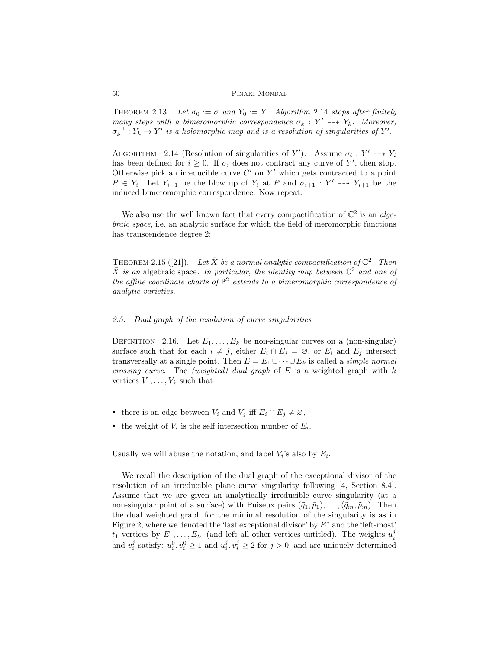THEOREM 2.13. Let  $\sigma_0 := \sigma$  and  $Y_0 := Y$ . Algorithm 2.14 stops after finitely many steps with a bimeromorphic correspondence  $\sigma_k$ : Y'  $\rightarrow$  Y<sub>k</sub>. Moreover,  $\sigma_k^{-1}: Y_k \to Y'$  is a holomorphic map and is a resolution of singularities of Y'.

ALGORITHM 2.14 (Resolution of singularities of Y'). Assume  $\sigma_i : Y' \dashrightarrow Y_i$ has been defined for  $i \geq 0$ . If  $\sigma_i$  does not contract any curve of Y', then stop. Otherwise pick an irreducible curve  $C'$  on  $Y'$  which gets contracted to a point  $P \in Y_i$ . Let  $Y_{i+1}$  be the blow up of  $Y_i$  at P and  $\sigma_{i+1} : Y' \dashrightarrow Y_{i+1}$  be the induced bimeromorphic correspondence. Now repeat.

We also use the well known fact that every compactification of  $\mathbb{C}^2$  is an algebraic space, i.e. an analytic surface for which the field of meromorphic functions has transcendence degree 2:

THEOREM 2.15 ([21]). Let  $\bar{X}$  be a normal analytic compactification of  $\mathbb{C}^2$ . Then  $\bar{X}$  is an algebraic space. In particular, the identity map between  $\mathbb{C}^2$  and one of the affine coordinate charts of  $\mathbb{P}^2$  extends to a bimeromorphic correspondence of analytic varieties.

#### 2.5. Dual graph of the resolution of curve singularities

DEFINITION 2.16. Let  $E_1, \ldots, E_k$  be non-singular curves on a (non-singular) surface such that for each  $i \neq j$ , either  $E_i \cap E_j = \emptyset$ , or  $E_i$  and  $E_j$  intersect transversally at a single point. Then  $E = E_1 \cup \cdots \cup E_k$  is called a *simple normal crossing curve.* The *(weighted)* dual graph of  $E$  is a weighted graph with  $k$ vertices  $V_1, \ldots, V_k$  such that

- there is an edge between  $V_i$  and  $V_j$  iff  $E_i \cap E_j \neq \emptyset$ ,
- the weight of  $V_i$  is the self intersection number of  $E_i$ .

Usually we will abuse the notation, and label  $V_i$ 's also by  $E_i$ .

We recall the description of the dual graph of the exceptional divisor of the resolution of an irreducible plane curve singularity following [4, Section 8.4]. Assume that we are given an analytically irreducible curve singularity (at a non-singular point of a surface) with Puiseux pairs  $(\tilde{q}_1, \tilde{p}_1), \ldots, (\tilde{q}_m, \tilde{p}_m)$ . Then the dual weighted graph for the minimal resolution of the singularity is as in Figure 2, where we denoted the 'last exceptional divisor' by  $E^*$  and the 'left-most'  $t_1$  vertices by  $E_1, \ldots, E_{t_1}$  (and left all other vertices untitled). The weights  $u_i^j$ and  $v_i^j$  satisfy:  $u_i^0, v_i^0 \ge 1$  and  $u_i^j, v_i^j \ge 2$  for  $j > 0$ , and are uniquely determined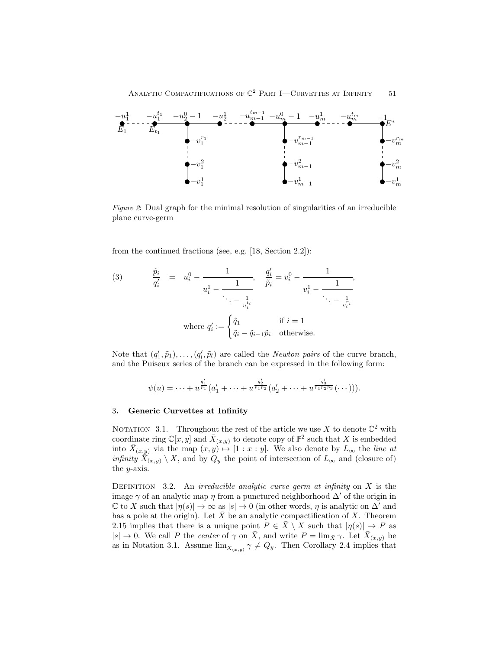

Figure 2: Dual graph for the minimal resolution of singularities of an irreducible plane curve-germ

from the continued fractions (see, e.g. [18, Section 2.2]):

(3) 
$$
\frac{\tilde{p}_i}{q'_i} = u_i^0 - \frac{1}{u_i^1 - \frac{1}{\ddots - \frac{1}{u_i^{t_i}}}}, \quad \frac{q'_i}{\tilde{p}_i} = v_i^0 - \frac{1}{v_i^1 - \frac{1}{\ddots - \frac{1}{v_i^{r_i}}}},
$$
  
where  $q'_i := \begin{cases} \tilde{q}_1 & \text{if } i = 1 \\ \tilde{q}_i - \tilde{q}_{i-1} \tilde{p}_i & \text{otherwise.} \end{cases}$ 

Note that  $(q'_1, \tilde{p}_1), \ldots, (q'_l, \tilde{p}_l)$  are called the *Newton pairs* of the curve branch, and the Puiseux series of the branch can be expressed in the following form:

$$
\psi(u) = \cdots + u^{\frac{q'_1}{\bar{p}_1}}(a'_1 + \cdots + u^{\frac{q'_2}{\bar{p}_1\bar{p}_2}}(a'_2 + \cdots + u^{\frac{q'_3}{\bar{p}_1\bar{p}_2\bar{p}_3}}(\cdots))).
$$

#### 3. Generic Curvettes at Infinity

NOTATION 3.1. Throughout the rest of the article we use X to denote  $\mathbb{C}^2$  with coordinate ring  $\mathbb{C}[x,y]$  and  $\bar{X}_{(x,y)}$  to denote copy of  $\mathbb{P}^2$  such that X is embedded into  $\bar{X}_{(x,y)}$  via the map  $(x, y) \mapsto [1 : x : y]$ . We also denote by  $L_{\infty}$  the line at *infinity*  $X(x,y) \setminus X$ , and by  $Q_y$  the point of intersection of  $L_{\infty}$  and (closure of) the y-axis.

DEFINITION 3.2. An *irreducible analytic curve germ at infinity* on  $X$  is the image  $\gamma$  of an analytic map  $\eta$  from a punctured neighborhood  $\Delta'$  of the origin in  $\mathbb C$  to X such that  $|\eta(s)| \to \infty$  as  $|s| \to 0$  (in other words,  $\eta$  is analytic on  $\Delta'$  and has a pole at the origin). Let  $\bar{X}$  be an analytic compactification of X. Theorem 2.15 implies that there is a unique point  $P \in \overline{X} \setminus X$  such that  $|\eta(s)| \to P$  as  $|s| \to 0$ . We call P the center of  $\gamma$  on  $\bar{X}$ , and write  $P = \lim_{\bar{X}} \gamma$ . Let  $\bar{X}_{(x,y)}$  be as in Notation 3.1. Assume  $\lim_{\bar{X}_{(x,y)}} \gamma \neq Q_y$ . Then Corollary 2.4 implies that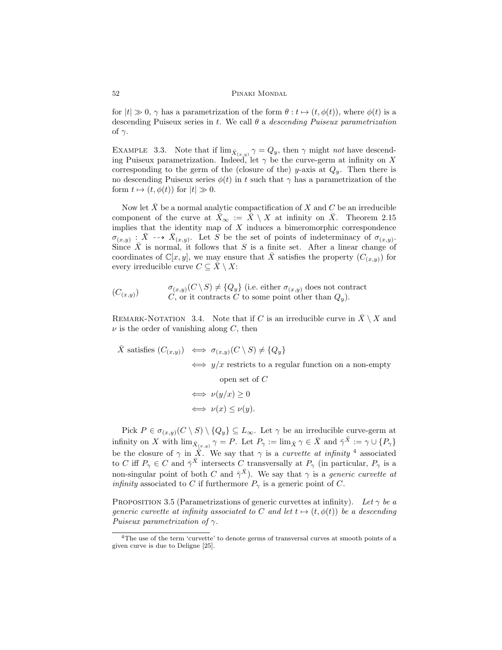for  $|t| \gg 0$ ,  $\gamma$  has a parametrization of the form  $\theta : t \mapsto (t, \phi(t))$ , where  $\phi(t)$  is a descending Puiseux series in t. We call  $\theta$  a *descending Puiseux parametrization* of  $\gamma$ .

EXAMPLE 3.3. Note that if  $\lim_{\bar{X}_{(x,y)}} \gamma = Q_y$ , then  $\gamma$  might not have descending Puiseux parametrization. Indeed, let  $\gamma$  be the curve-germ at infinity on X corresponding to the germ of the (closure of the) y-axis at  $Q_y$ . Then there is no descending Puiseux series  $\phi(t)$  in t such that  $\gamma$  has a parametrization of the form  $t \mapsto (t, \phi(t))$  for  $|t| \gg 0$ .

Now let  $\bar{X}$  be a normal analytic compactification of X and C be an irreducible component of the curve at  $\bar{X}_{\infty} := \bar{X} \setminus X$  at infinity on  $\bar{X}$ . Theorem 2.15 implies that the identity map of  $X$  induces a bimeromorphic correspondence  $\sigma_{(x,y)}$ :  $\bar{X} \dashrightarrow \bar{X}_{(x,y)}$ . Let S be the set of points of indeterminacy of  $\sigma_{(x,y)}$ . Since  $\overline{X}$  is normal, it follows that S is a finite set. After a linear change of coordinates of  $\mathbb{C}[x,y]$ , we may ensure that X satisfies the property  $(C_{(x,y)})$  for every irreducible curve  $C \subseteq \overline{X} \setminus X$ :

$$
(C_{(x,y)}) \qquad \begin{array}{c} \sigma_{(x,y)}(C \setminus S) \neq \{Q_y\} \text{ (i.e. either } \sigma_{(x,y)} \text{ does not contract} \\ C, \text{ or it contracts } C \text{ to some point other than } Q_y). \end{array}
$$

REMARK-NOTATION 3.4. Note that if C is an irreducible curve in  $\bar{X} \setminus X$  and  $\nu$  is the order of vanishing along C, then

$$
\bar{X} \text{ satisfies } (C_{(x,y)}) \iff \sigma_{(x,y)}(C \setminus S) \neq \{Q_y\}
$$
\n
$$
\iff y/x \text{ restricts to a regular function on a non-empty}
$$
\nopen set of  $C$ \n
$$
\iff \nu(y/x) \geq 0
$$
\n
$$
\iff \nu(x) \leq \nu(y).
$$

Pick  $P \in \sigma_{(x,y)}(C \setminus S) \setminus \{Q_y\} \subseteq L_\infty$ . Let  $\gamma$  be an irreducible curve-germ at infinity on X with  $\lim_{\bar{X}_{(x,y)}} \gamma = P$ . Let  $P_{\gamma} := \lim_{\bar{X}} \gamma \in \bar{X}$  and  $\bar{\gamma}^{\bar{X}} := \gamma \cup \{P_{\gamma}\}\$ be the closure of  $\gamma$  in  $\overline{X}$ . We say that  $\gamma$  is a *curvette at infinity* <sup>4</sup> associated to C iff  $P_{\gamma} \in C$  and  $\bar{\gamma}^{\bar{X}}$  intersects C transversally at  $P_{\gamma}$  (in particular,  $P_{\gamma}$  is a non-singular point of both C and  $\bar{\gamma}^{\bar{X}}$ ). We say that  $\gamma$  is a *generic curvette at infinity* associated to C if furthermore  $P_{\gamma}$  is a generic point of C.

PROPOSITION 3.5 (Parametrizations of generic curvettes at infinity). Let  $\gamma$  be a generic curvette at infinity associated to C and let  $t \mapsto (t, \phi(t))$  be a descending Puiseux parametrization of  $\gamma$ .

<sup>4</sup>The use of the term 'curvette' to denote germs of transversal curves at smooth points of a given curve is due to Deligne [25].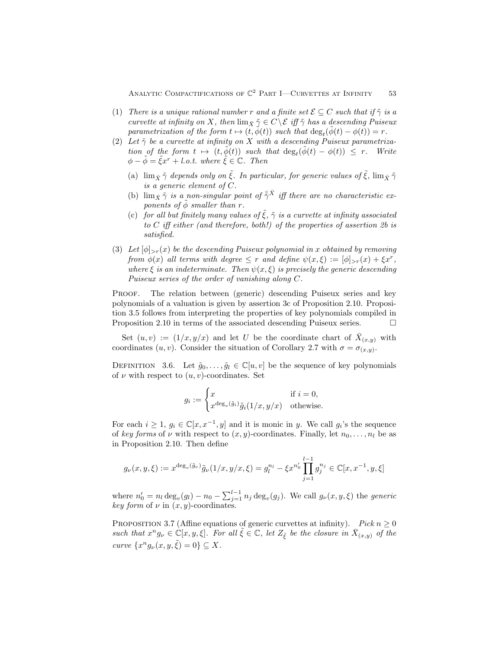- (1) There is a unique rational number r and a finite set  $\mathcal{E} \subseteq C$  such that if  $\tilde{\gamma}$  is a curvette at infinity on X, then  $\lim_{\bar{X}} \tilde{\gamma} \in C \setminus \mathcal{E}$  iff  $\tilde{\gamma}$  has a descending Puiseux parametrization of the form  $t \mapsto (\tilde{t}, \phi(t))$  such that  $\deg_t(\tilde{\phi}(t) - \phi(t)) = r$ .
- (2) Let  $\tilde{\gamma}$  be a curvette at infinity on X with a descending Puiseux parametrization of the form  $t \mapsto (t, \tilde{\phi}(t))$  such that  $\deg_t(\tilde{\phi}(t) - \phi(t)) \leq r$ . Write  $\phi - \tilde{\phi} = \tilde{\xi}x^r + l.o.t.$  where  $\tilde{\xi} \in \mathbb{C}$ . Then
	- (a)  $\lim_{\bar{X}} \tilde{\gamma}$  depends only on  $\tilde{\xi}$ . In particular, for generic values of  $\tilde{\xi}$ ,  $\lim_{\bar{X}} \tilde{\gamma}$ is a generic element of C.
	- (b)  $\lim_{\bar{X}} \tilde{\gamma}$  is a non-singular point of  $\bar{\tilde{\gamma}}^{\bar{X}}$  iff there are no characteristic exponents of  $\phi$  smaller than r.
	- (c) for all but finitely many values of  $\tilde{\xi}$ ,  $\tilde{\gamma}$  is a curvette at infinity associated to C iff either (and therefore, both!) of the properties of assertion 2b is satisfied.
- (3) Let  $[\phi]_{\geq r}(x)$  be the descending Puiseux polynomial in x obtained by removing from  $\phi(x)$  all terms with degree  $\leq r$  and define  $\psi(x,\xi) := [\phi]_{>r}(x) + \xi x^r$ , where  $\xi$  is an indeterminate. Then  $\psi(x,\xi)$  is precisely the generic descending Puiseux series of the order of vanishing along C.

PROOF. The relation between (generic) descending Puiseux series and key polynomials of a valuation is given by assertion 3c of Proposition 2.10. Proposition 3.5 follows from interpreting the properties of key polynomials compiled in Proposition 2.10 in terms of the associated descending Puiseux series.

Set  $(u, v) := (1/x, y/x)$  and let U be the coordinate chart of  $\overline{X}_{(x,y)}$  with coordinates  $(u, v)$ . Consider the situation of Corollary 2.7 with  $\sigma = \sigma_{(x,y)}$ .

DEFINITION 3.6. Let  $\tilde{g}_0, \ldots, \tilde{g}_l \in \mathbb{C}[u, v]$  be the sequence of key polynomials of  $\nu$  with respect to  $(u, v)$ -coordinates. Set

$$
g_i := \begin{cases} x & \text{if } i = 0, \\ x^{\deg_v(\tilde{g}_i)} \tilde{g}_i(1/x, y/x) & \text{otherwise.} \end{cases}
$$

For each  $i \geq 1$ ,  $g_i \in \mathbb{C}[x, x^{-1}, y]$  and it is monic in y. We call  $g_i$ 's the sequence of key forms of  $\nu$  with respect to  $(x, y)$ -coordinates. Finally, let  $n_0, \ldots, n_l$  be as in Proposition 2.10. Then define

$$
g_{\nu}(x, y, \xi) := x^{\deg_{v}(\tilde{g}_{\nu})} \tilde{g}_{\nu}(1/x, y/x, \xi) = g_{l}^{n_{l}} - \xi x^{n'_{0}} \prod_{j=1}^{l-1} g_{j}^{n_{j}} \in \mathbb{C}[x, x^{-1}, y, \xi]
$$

where  $n'_0 = n_l \deg_v(g_l) - n_0 - \sum_{j=1}^{l-1} n_j \deg_v(g_j)$ . We call  $g_{\nu}(x, y, \xi)$  the *generic* key form of  $\nu$  in  $(x, y)$ -coordinates

PROPOSITION 3.7 (Affine equations of generic curvettes at infinity). Pick  $n \geq 0$ such that  $x^ng_\nu \in \mathbb{C}[x,y,\xi]$ . For all  $\tilde{\xi} \in \mathbb{C}$ , let  $Z_{\tilde{\xi}}$  be the closure in  $\bar{X}_{(x,y)}$  of the curve  $\{x^n g_{\nu}(x, y, \tilde{\xi}) = 0\} \subseteq X$ .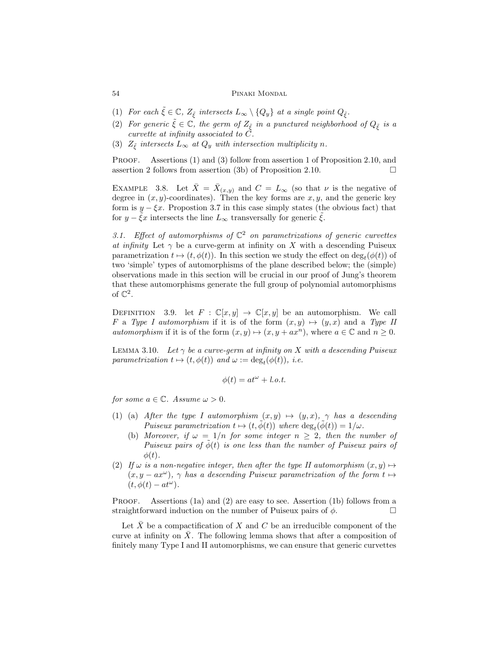- (1) For each  $\tilde{\xi} \in \mathbb{C}$ ,  $Z_{\tilde{\xi}}$  intersects  $L_{\infty} \setminus \{Q_y\}$  at a single point  $Q_{\tilde{\xi}}$ .
- (2) For generic  $\tilde{\xi} \in \mathbb{C}$ , the germ of  $Z_{\tilde{\xi}}$  in a punctured neighborhood of  $Q_{\tilde{\xi}}$  is a curvette at infinity associated to C.
- (3)  $Z_{\tilde{\xi}}$  intersects  $L_{\infty}$  at  $Q_y$  with intersection multiplicity n.

PROOF. Assertions (1) and (3) follow from assertion 1 of Proposition 2.10, and assertion 2 follows from assertion (3b) of Proposition 2.10.  $\Box$ 

EXAMPLE 3.8. Let  $\bar{X} = \bar{X}_{(x,y)}$  and  $C = L_{\infty}$  (so that  $\nu$  is the negative of degree in  $(x, y)$ -coordinates). Then the key forms are  $x, y$ , and the generic key form is  $y - \xi x$ . Propostion 3.7 in this case simply states (the obvious fact) that for  $y - \xi x$  intersects the line  $L_{\infty}$  transversally for generic  $\xi$ .

3.1. Effect of automorphisms of  $\mathbb{C}^2$  on parametrizations of generic curvettes at infinity Let  $\gamma$  be a curve-germ at infinity on X with a descending Puiseux parametrization  $t \mapsto (t, \phi(t))$ . In this section we study the effect on  $\deg_t(\phi(t))$  of two 'simple' types of automorphisms of the plane described below; the (simple) observations made in this section will be crucial in our proof of Jung's theorem that these automorphisms generate the full group of polynomial automorphisms of  $\mathbb{C}^2$ .

DEFINITION 3.9. let  $F : \mathbb{C}[x, y] \to \mathbb{C}[x, y]$  be an automorphism. We call F a Type I automorphism if it is of the form  $(x, y) \mapsto (y, x)$  and a Type II *automorphism* if it is of the form  $(x, y) \mapsto (x, y + ax^n)$ , where  $a \in \mathbb{C}$  and  $n \ge 0$ .

LEMMA 3.10. Let  $\gamma$  be a curve-germ at infinity on X with a descending Puiseux parametrization  $t \mapsto (t, \phi(t))$  and  $\omega := \deg_t(\phi(t)),$  i.e.

$$
\phi(t) = at^{\omega} + l.o.t.
$$

for some  $a \in \mathbb{C}$ . Assume  $\omega > 0$ .

- (1) (a) After the type I automorphism  $(x, y) \mapsto (y, x)$ ,  $\gamma$  has a descending Puiseux parametrization  $t \mapsto (t, \tilde{\phi}(t))$  where  $\deg_t(\tilde{\phi}(t)) = 1/\omega$ .
	- (b) Moreover, if  $\omega = 1/n$  for some integer  $n \geq 2$ , then the number of Puiseux pairs of  $\phi(t)$  is one less than the number of Puiseux pairs of  $\phi(t)$ .
- (2) If  $\omega$  is a non-negative integer, then after the type II automorphism  $(x, y) \mapsto$  $(x, y - ax^{\omega})$ ,  $\gamma$  has a descending Puiseux parametrization of the form  $t \mapsto$  $(t, \phi(t) - at^{\omega}).$

PROOF. Assertions (1a) and (2) are easy to see. Assertion (1b) follows from a straightforward induction on the number of Puiseux pairs of  $\phi$ .

Let  $\bar{X}$  be a compactification of X and C be an irreducible component of the curve at infinity on  $\overline{X}$ . The following lemma shows that after a composition of finitely many Type I and II automorphisms, we can ensure that generic curvettes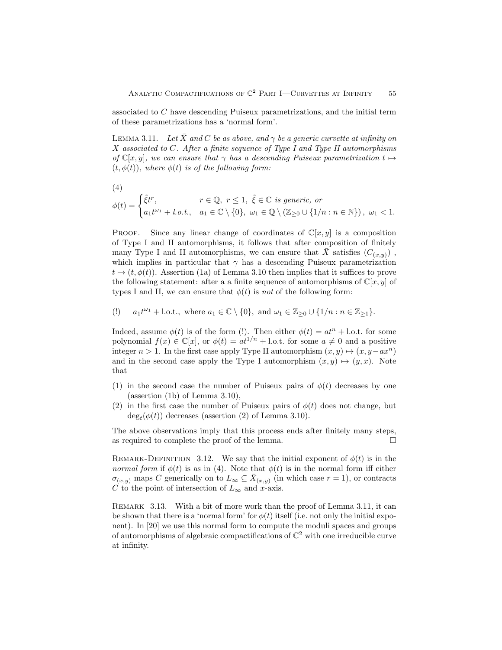associated to C have descending Puiseux parametrizations, and the initial term of these parametrizations has a 'normal form'.

LEMMA 3.11. Let X and C be as above, and  $\gamma$  be a generic curvette at infinity on  $X$  associated to  $C$ . After a finite sequence of Type I and Type II automorphisms of  $\mathbb{C}[x, y]$ , we can ensure that  $\gamma$  has a descending Puiseux parametrization  $t \mapsto$  $(t, \phi(t))$ , where  $\phi(t)$  is of the following form:

(4)

$$
\phi(t) = \begin{cases} \tilde{\xi}t^r, & r \in \mathbb{Q}, \ r \le 1, \ \tilde{\xi} \in \mathbb{C} \ \text{is generic, or} \\ a_1 t^{\omega_1} + l.o.t., & a_1 \in \mathbb{C} \setminus \{0\}, \ \omega_1 \in \mathbb{Q} \setminus (\mathbb{Z}_{\ge 0} \cup \{1/n : n \in \mathbb{N}\}), \ \omega_1 < 1. \end{cases}
$$

**PROOF.** Since any linear change of coordinates of  $\mathbb{C}[x, y]$  is a composition of Type I and II automorphisms, it follows that after composition of finitely many Type I and II automorphisms, we can ensure that  $\bar{X}$  satisfies  $(C_{(x,y)})$ , which implies in particular that  $\gamma$  has a descending Puiseux parametrization  $t \mapsto (t, \phi(t))$ . Assertion (1a) of Lemma 3.10 then implies that it suffices to prove the following statement: after a a finite sequence of automorphisms of  $\mathbb{C}[x, y]$  of types I and II, we can ensure that  $\phi(t)$  is not of the following form:

(!) 
$$
a_1 t^{\omega_1} + \text{l.o.t., where } a_1 \in \mathbb{C} \setminus \{0\}, \text{ and } \omega_1 \in \mathbb{Z}_{\geq 0} \cup \{1/n : n \in \mathbb{Z}_{\geq 1}\}.
$$

Indeed, assume  $\phi(t)$  is of the form (!). Then either  $\phi(t) = at^n + 1$ .o.t. for some polynomial  $f(x) \in \mathbb{C}[x]$ , or  $\phi(t) = at^{1/n} + 1$ .o.t. for some  $a \neq 0$  and a positive integer  $n > 1$ . In the first case apply Type II automorphism  $(x, y) \mapsto (x, y - ax^n)$ and in the second case apply the Type I automorphism  $(x, y) \mapsto (y, x)$ . Note that

- (1) in the second case the number of Puiseux pairs of  $\phi(t)$  decreases by one (assertion (1b) of Lemma 3.10),
- (2) in the first case the number of Puiseux pairs of  $\phi(t)$  does not change, but  $\deg_t(\phi(t))$  decreases (assertion (2) of Lemma 3.10).

The above observations imply that this process ends after finitely many steps, as required to complete the proof of the lemma.

REMARK-DEFINITION 3.12. We say that the initial exponent of  $\phi(t)$  is in the normal form if  $\phi(t)$  is as in (4). Note that  $\phi(t)$  is in the normal form iff either  $\sigma_{(x,y)}$  maps C generically on to  $L_{\infty} \subseteq \overline{X}_{(x,y)}$  (in which case  $r = 1$ ), or contracts C to the point of intersection of  $L_{\infty}$  and x-axis.

REMARK 3.13. With a bit of more work than the proof of Lemma 3.11, it can be shown that there is a 'normal form' for  $\phi(t)$  itself (i.e. not only the initial exponent). In [20] we use this normal form to compute the moduli spaces and groups of automorphisms of algebraic compactifications of  $\mathbb{C}^2$  with one irreducible curve at infinity.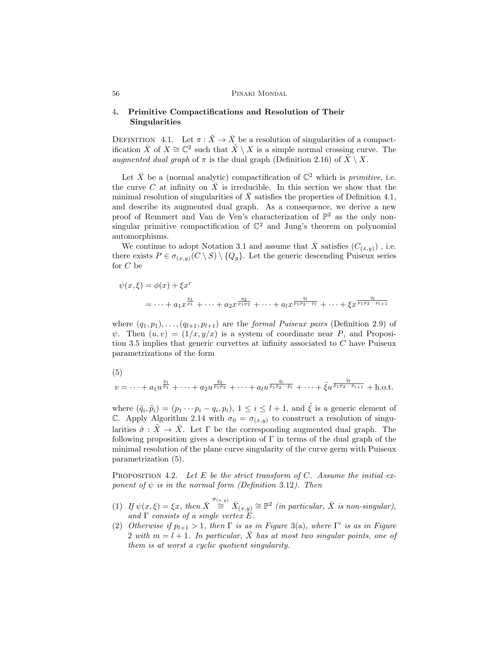## 4. Primitive Compactifications and Resolution of Their Singularities

DEFINITION 4.1. Let  $\pi : \tilde{X} \to \bar{X}$  be a resolution of singularities of a compactification  $\bar{X}$  of  $X \cong \mathbb{C}^2$  such that  $\tilde{X} \setminus X$  is a simple normal crossing curve. The augmented dual graph of  $\pi$  is the dual graph (Definition 2.16) of  $\tilde{X} \setminus X$ .

Let  $\bar{X}$  be a (normal analytic) compactification of  $\mathbb{C}^2$  which is *primitive*, i.e. the curve C at infinity on  $\overline{X}$  is irreducible. In this section we show that the minimal resolution of singularities of  $X$  satisfies the properties of Definition 4.1, and describe its augmented dual graph. As a consequence, we derive a new proof of Remmert and Van de Ven's characterization of  $\mathbb{P}^2$  as the only nonsingular primitive compactification of  $\mathbb{C}^2$  and Jung's theorem on polynomial automorphisms.

We continue to adopt Notation 3.1 and assume that  $\bar{X}$  satisfies  $(C_{(x,y)})$ , i.e. there exists  $P \in \sigma_{(x,y)}(C \setminus S) \setminus \{Q_y\}$ . Let the generic descending Puiseux series for C be

$$
\psi(x,\xi) = \phi(x) + \xi x^{r}
$$
  
= ... +  $a_1 x^{\frac{q_1}{p_1}} + ... + a_2 x^{\frac{q_2}{p_1 p_2}} + ... + a_l x^{\frac{q_l}{p_1 p_2 ... p_l}} + ... + \xi x^{\frac{q_l}{p_1 p_2 ... p_{l+1}}}$ 

where  $(q_1, p_1), \ldots, (q_{l+1}, p_{l+1})$  are the *formal Puiseux pairs* (Definition 2.9) of  $\psi$ . Then  $(u, v) = (1/x, y/x)$  is a system of coordinate near P, and Proposition 3.5 implies that generic curvettes at infinity associated to  $C$  have Puiseux parametrizations of the form

$$
(5)
$$

$$
v = \cdots + a_1 u^{\frac{\tilde{q}_1}{\tilde{p}_1}} + \cdots + a_2 u^{\frac{\tilde{q}_2}{\tilde{p}_1 \tilde{p}_2}} + \cdots + a_l u^{\frac{\tilde{q}_l}{\tilde{p}_1 \tilde{p}_2 \cdots \tilde{p}_l}} + \cdots + \tilde{\xi} u^{\frac{\tilde{q}_l}{\tilde{p}_1 \tilde{p}_2 \cdots \tilde{p}_{l+1}}} + \text{h.o.t.}
$$

where  $(\tilde{q}_i, \tilde{p}_i) = (p_1 \cdots p_i - q_i, p_i), 1 \leq i \leq l+1$ , and  $\tilde{\xi}$  is a generic element of C. Apply Algorithm 2.14 with  $\sigma_0 = \sigma_{(x,y)}$  to construct a resolution of singularities  $\tilde{\sigma}: \tilde{X} \to \bar{X}$ . Let  $\Gamma$  be the corresponding augmented dual graph. The following proposition gives a description of Γ in terms of the dual graph of the minimal resolution of the plane curve singularity of the curve germ with Puiseux parametrization (5).

PROPOSITION 4.2. Let E be the strict transform of C. Assume the initial exponent of  $\psi$  is in the normal form (Definition 3.12). Then

- (1) If  $\psi(x,\xi) = \xi x$ , then  $\overline{X} \stackrel{\sigma_{(x,y)}}{\cong} \overline{X}_{(x,y)} \cong \mathbb{P}^2$  (in particular,  $\overline{X}$  is non-singular), and  $\Gamma$  consists of a single vertex  $E$ .
- (2) Otherwise if  $p_{l+1} > 1$ , then  $\Gamma$  is as in Figure 3(a), where  $\Gamma'$  is as in Figure 2 with  $m = l + 1$ . In particular,  $\bar{X}$  has at most two singular points, one of them is at worst a cyclic quotient singularity.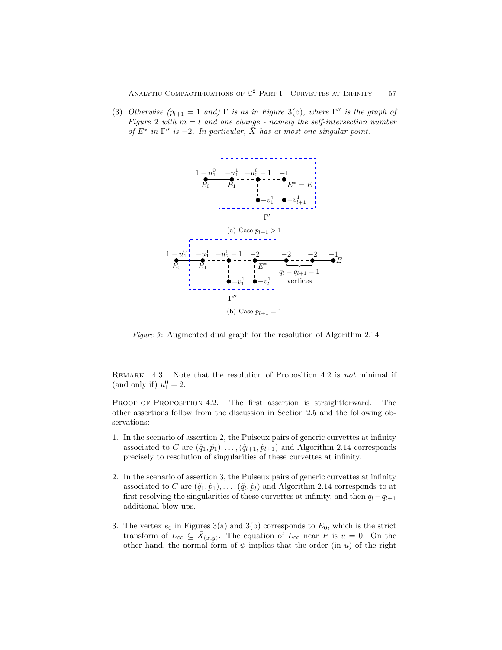(3) Otherwise  $(p_{l+1} = 1$  and)  $\Gamma$  is as in Figure 3(b), where  $\Gamma''$  is the graph of Figure 2 with  $m = l$  and one change - namely the self-intersection number of  $E^*$  in  $\Gamma''$  is -2. In particular,  $\tilde{X}$  has at most one singular point.



Figure 3: Augmented dual graph for the resolution of Algorithm  $2.14$ 

REMARK 4.3. Note that the resolution of Proposition 4.2 is not minimal if (and only if)  $u_1^0 = 2$ .

PROOF OF PROPOSITION 4.2. The first assertion is straightforward. The other assertions follow from the discussion in Section 2.5 and the following observations:

- 1. In the scenario of assertion 2, the Puiseux pairs of generic curvettes at infinity associated to C are  $(\tilde{q}_1, \tilde{p}_1), \ldots, (\tilde{q}_{l+1}, \tilde{p}_{l+1})$  and Algorithm 2.14 corresponds precisely to resolution of singularities of these curvettes at infinity.
- 2. In the scenario of assertion 3, the Puiseux pairs of generic curvettes at infinity associated to C are  $(\tilde{q}_1, \tilde{p}_1), \ldots, (\tilde{q}_l, \tilde{p}_l)$  and Algorithm 2.14 corresponds to at first resolving the singularities of these curvettes at infinity, and then  $q_l-q_{l+1}$ additional blow-ups.
- 3. The vertex  $e_0$  in Figures 3(a) and 3(b) corresponds to  $E_0$ , which is the strict transform of  $L_{\infty} \subseteq \overline{X}_{(x,y)}$ . The equation of  $L_{\infty}$  near P is  $u = 0$ . On the other hand, the normal form of  $\psi$  implies that the order (in u) of the right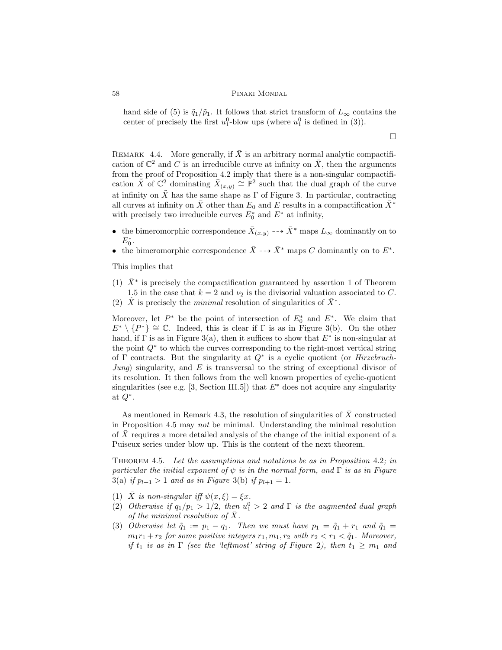hand side of (5) is  $\tilde{q}_1/\tilde{p}_1$ . It follows that strict transform of  $L_{\infty}$  contains the center of precisely the first  $u_1^0$ -blow ups (where  $u_1^0$  is defined in (3)).

 $\Box$ 

REMARK 4.4. More generally, if  $\overline{X}$  is an arbitrary normal analytic compactification of  $\mathbb{C}^2$  and C is an irreducible curve at infinity on  $\overline{X}$ , then the arguments from the proof of Proposition 4.2 imply that there is a non-singular compactification  $\tilde{X}$  of  $\mathbb{C}^2$  dominating  $\bar{X}_{(x,y)} \cong \mathbb{P}^2$  such that the dual graph of the curve at infinity on  $\tilde{X}$  has the same shape as  $\Gamma$  of Figure 3. In particular, contracting all curves at infinity on  $\bar{X}$  other than  $E_0$  and E results in a compactification  $\bar{X}^*$ with precisely two irreducible curves  $E_0^*$  and  $E^*$  at infinity,

- the bimeromorphic correspondence  $\bar{X}_{(x,y)} \dashrightarrow \bar{X}^*$  maps  $L_{\infty}$  dominantly on to  $E_0^*$ .
- the bimeromorphic correspondence  $\bar{X} \dashrightarrow \bar{X}^*$  maps C dominantly on to  $E^*$ .

This implies that

- (1)  $\bar{X}^*$  is precisely the compactification guaranteed by assertion 1 of Theorem 1.5 in the case that  $k = 2$  and  $\nu_2$  is the divisorial valuation associated to C.
- (2)  $\tilde{X}$  is precisely the *minimal* resolution of singularities of  $\bar{X}^*$ .

Moreover, let  $P^*$  be the point of intersection of  $E_0^*$  and  $E^*$ . We claim that  $E^* \setminus \{P^*\} \cong \mathbb{C}$ . Indeed, this is clear if  $\Gamma$  is as in Figure 3(b). On the other hand, if  $\Gamma$  is as in Figure 3(a), then it suffices to show that  $E^*$  is non-singular at the point Q<sup>∗</sup> to which the curves corresponding to the right-most vertical string of  $\Gamma$  contracts. But the singularity at  $Q^*$  is a cyclic quotient (or *Hirzebruch*-Jung) singularity, and  $E$  is transversal to the string of exceptional divisor of its resolution. It then follows from the well known properties of cyclic-quotient singularities (see e.g. [3, Section III.5]) that  $E^*$  does not acquire any singularity at  $Q^*$ .

As mentioned in Remark 4.3, the resolution of singularities of  $\bar{X}$  constructed in Proposition 4.5 may not be minimal. Understanding the minimal resolution of  $X$  requires a more detailed analysis of the change of the initial exponent of a Puiseux series under blow up. This is the content of the next theorem.

THEOREM 4.5. Let the assumptions and notations be as in Proposition 4.2; in particular the initial exponent of  $\psi$  is in the normal form, and  $\Gamma$  is as in Figure 3(a) if  $p_{l+1} > 1$  and as in Figure 3(b) if  $p_{l+1} = 1$ .

- (1)  $\bar{X}$  is non-singular iff  $\psi(x,\xi) = \xi x$ .
- (2) Otherwise if  $q_1/p_1 > 1/2$ , then  $u_1^0 > 2$  and  $\Gamma$  is the augmented dual graph of the minimal resolution of  $X$ .
- (3) Otherwise let  $\tilde{q}_1 := p_1 q_1$ . Then we must have  $p_1 = \tilde{q}_1 + r_1$  and  $\tilde{q}_1 =$  $m_1r_1 + r_2$  for some positive integers  $r_1, m_1, r_2$  with  $r_2 < r_1 < \tilde{q}_1$ . Moreover, if  $t_1$  is as in  $\Gamma$  (see the 'leftmost' string of Figure 2), then  $t_1 \geq m_1$  and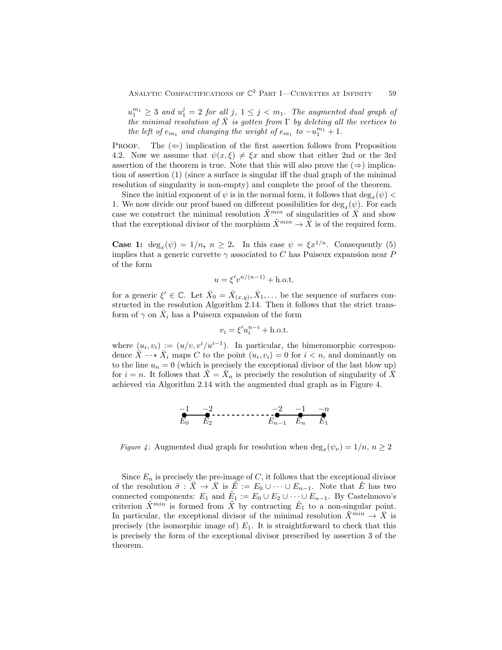$u_1^{m_1} \geq 3$  and  $u_1^j = 2$  for all j,  $1 \leq j < m_1$ . The augmented dual graph of the minimal resolution of  $\overline{X}$  is gotten from  $\Gamma$  by deleting all the vertices to the left of  $e_{m_1}$  and changing the weight of  $e_{m_1}$  to  $-u_1^{m_1}+1$ .

PROOF. The  $(\Leftarrow)$  implication of the first assertion follows from Proposition 4.2. Now we assume that  $\psi(x,\xi) \neq \xi x$  and show that either 2nd or the 3rd assertion of the theorem is true. Note that this will also prove the  $(\Rightarrow)$  implication of assertion (1) (since a surface is singular iff the dual graph of the minimal resolution of singularity is non-empty) and complete the proof of the theorem.

Since the initial exponent of  $\psi$  is in the normal form, it follows that  $\deg_x(\psi)$ 1. We now divide our proof based on different possibilities for  $\deg_x(\psi)$ . For each case we construct the minimal resolution  $\tilde{X}^{min}$  of singularities of  $\bar{X}$  and show that the exceptional divisor of the morphism  $\tilde{X}^{min} \to \bar{X}$  is of the required form.

**Case 1:** deg<sub>x</sub>( $\psi$ ) = 1/n, n  $\geq$  2. In this case  $\psi = \xi x^{1/n}$ . Consequently (5) implies that a generic curvette  $\gamma$  associated to C has Puiseux expansion near P of the form

$$
u = \xi' v^{n/(n-1)} + \text{h.o.t.}
$$

for a generic  $\xi' \in \mathbb{C}$ . Let  $\bar{X}_0 = \bar{X}_{(x,y)}, \bar{X}_1, \dots$  be the sequence of surfaces constructed in the resolution Algorithm 2.14. Then it follows that the strict transform of  $\gamma$  on  $\overline{X}_i$  has a Puiseux expansion of the form

$$
v_i = \xi' u_i^{n-i} + \text{h.o.t.}
$$

where  $(u_i, v_i) := (u/v, v^i/u^{i-1})$ . In particular, the bimeromorphic correspondence  $\overline{X} \dashrightarrow \overline{X}_i$  maps C to the point  $(u_i, v_i) = 0$  for  $i < n$ , and dominantly on to the line  $u_n = 0$  (which is precisely the exceptional divisor of the last blow up) for  $i = n$ . It follows that  $\tilde{X} = \bar{X}_n$  is precisely the resolution of singularity of  $\tilde{X}$ achieved via Algorithm 2.14 with the augmented dual graph as in Figure 4.

$$
E_0 = \begin{matrix} -1 & -2 & -1 & -n \\ E_0 & E_2 & E_{n-1} & E_n & E_1 \end{matrix}
$$

Figure 4: Augmented dual graph for resolution when  $\deg_x(\psi_\nu) = 1/n, n \ge 2$ 

Since  $E_n$  is precisely the pre-image of  $C$ , it follows that the exceptional divisor of the resolution  $\tilde{\sigma}: \tilde{X} \to \bar{X}$  is  $\tilde{E} := E_0 \cup \cdots \cup E_{n-1}$ . Note that  $\tilde{E}$  has two connected components:  $E_1$  and  $\tilde{E}_1 := E_0 \cup E_2 \cup \cdots \cup E_{n-1}$ . By Castelnuovo's criterion  $\tilde{X}^{min}$  is formed from  $\tilde{X}$  by contracting  $\tilde{E}_1$  to a non-singular point. In particular, the exceptional divisor of the minimal resolution  $\bar{X}^{min} \to \bar{X}$  is precisely (the isomorphic image of)  $E_1$ . It is straightforward to check that this is precisely the form of the exceptional divisor prescribed by assertion 3 of the theorem.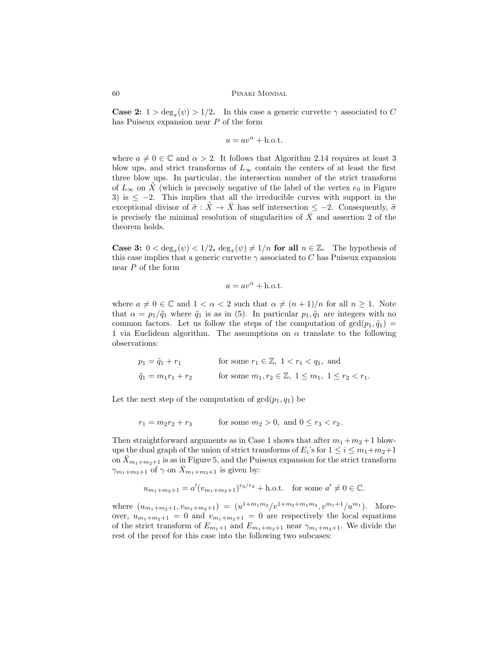**Case 2:**  $1 > \deg_x(\psi) > 1/2$ . In this case a generic curvette  $\gamma$  associated to C has Puiseux expansion near P of the form

$$
u = av^{\alpha} + \text{h.o.t.}
$$

where  $a \neq 0 \in \mathbb{C}$  and  $\alpha > 2$ . It follows that Algorithm 2.14 requires at least 3 blow ups, and strict transforms of  $L_{\infty}$  contain the centers of at least the first three blow ups. In particular, the intersection number of the strict transform of  $L_{\infty}$  on X (which is precisely negative of the label of the vertex  $e_0$  in Figure 3) is  $\leq -2$ . This implies that all the irreducible curves with support in the exceptional divisor of  $\tilde{\sigma} : \tilde{X} \to \bar{X}$  has self intersection  $\leq -2$ . Consequently,  $\tilde{\sigma}$ is precisely the minimal resolution of singularities of  $\overline{X}$  and assertion 2 of the theorem holds.

**Case 3:**  $0 < \deg_x(\psi) < 1/2$ ,  $\deg_x(\psi) \neq 1/n$  for all  $n \in \mathbb{Z}$ . The hypothesis of this case implies that a generic curvette  $\gamma$  associated to C has Puiseux expansion near P of the form

$$
u = av^{\alpha} + \text{h.o.t.}
$$

where  $a \neq 0 \in \mathbb{C}$  and  $1 < \alpha < 2$  such that  $\alpha \neq (n+1)/n$  for all  $n \geq 1$ . Note that  $\alpha = p_1/\tilde{q}_1$  where  $\tilde{q}_1$  is as in (5). In particular  $p_1, \tilde{q}_1$  are integers with no common factors. Let us follow the steps of the computation of  $gcd(p_1, \tilde{q}_1)$ 1 via Euclidean algorithm. The assumptions on  $\alpha$  translate to the following observations:

$$
p_1 = \tilde{q}_1 + r_1 \qquad \text{for some } r_1 \in \mathbb{Z}, \ 1 < r_1 < q_1, \text{ and}
$$
\n
$$
\tilde{q}_1 = m_1 r_1 + r_2 \qquad \text{for some } m_1, r_2 \in \mathbb{Z}, \ 1 \le m_1, \ 1 \le r_2 < r_1.
$$

Let the next step of the computation of  $gcd(p_1, q_1)$  be

$$
r_1 = m_2 r_2 + r_3
$$
 for some  $m_2 > 0$ , and  $0 \le r_3 < r_2$ .

Then straightforward arguments as in Case 1 shows that after  $m_1 + m_2 + 1$  blowups the dual graph of the union of strict transforms of  $E_i$ 's for  $1 \le i \le m_1+m_2+1$ on  $\bar{X}_{m_1+m_2+1}$  is as in Figure 5, and the Puiseux expansion for the strict transform  $\gamma_{m_1+m_2+1}$  of  $\gamma$  on  $X_{m_1+m_2+1}$  is given by:

$$
u_{m_1+m_2+1} = a'(v_{m_1+m_2+1})^{r_3/r_2} + \text{h.o.t.}
$$
 for some  $a' \neq 0 \in \mathbb{C}$ .

where  $(u_{m_1+m_2+1}, v_{m_1+m_2+1}) = (u^{1+m_1m_2}/v^{1+m_2+m_1m_2}, v^{m_1+1}/u^{m_1})$ . Moreover,  $u_{m_1+m_2+1} = 0$  and  $v_{m_1+m_2+1} = 0$  are respectively the local equations of the strict transform of  $E_{m_1+1}$  and  $E_{m_1+m_2+1}$  near  $\gamma_{m_1+m_2+1}$ . We divide the rest of the proof for this case into the following two subcases: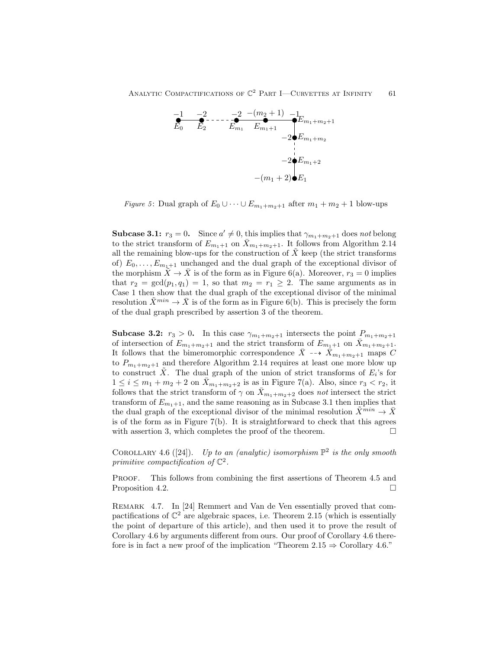

*Figure 5*: Dual graph of  $E_0 \cup \cdots \cup E_{m_1+m_2+1}$  after  $m_1 + m_2 + 1$  blow-ups

**Subcase 3.1:**  $r_3 = 0$ . Since  $a' \neq 0$ , this implies that  $\gamma_{m_1+m_2+1}$  does not belong to the strict transform of  $E_{m_1+1}$  on  $\bar{X}_{m_1+m_2+1}$ . It follows from Algorithm 2.14 all the remaining blow-ups for the construction of  $X$  keep (the strict transforms of)  $E_0, \ldots, E_{m_1+1}$  unchanged and the dual graph of the exceptional divisor of the morphism  $X \to \overline{X}$  is of the form as in Figure 6(a). Moreover,  $r_3 = 0$  implies that  $r_2 = \gcd(p_1, q_1) = 1$ , so that  $m_2 = r_1 \geq 2$ . The same arguments as in Case 1 then show that the dual graph of the exceptional divisor of the minimal resolution  $\tilde{X}^{min} \to \bar{X}$  is of the form as in Figure 6(b). This is precisely the form of the dual graph prescribed by assertion 3 of the theorem.

**Subcase 3.2:**  $r_3 > 0$ . In this case  $\gamma_{m_1+m_2+1}$  intersects the point  $P_{m_1+m_2+1}$ of intersection of  $E_{m_1+m_2+1}$  and the strict transform of  $E_{m_1+1}$  on  $\bar{X}_{m_1+m_2+1}$ . It follows that the bimeromorphic correspondence  $\bar{X} \dashrightarrow \bar{X}_{m_1+m_2+1}$  maps C to  $P_{m_1+m_2+1}$  and therefore Algorithm 2.14 requires at least one more blow up to construct  $\tilde{X}$ . The dual graph of the union of strict transforms of  $E_i$ 's for  $1 \leq i \leq m_1 + m_2 + 2$  on  $\overline{X}_{m_1+m_2+2}$  is as in Figure 7(a). Also, since  $r_3 < r_2$ , it follows that the strict transform of  $\gamma$  on  $\bar{X}_{m_1+m_2+2}$  does not intersect the strict transform of  $E_{m_1+1}$ , and the same reasoning as in Subcase 3.1 then implies that the dual graph of the exceptional divisor of the minimal resolution  $\ddot{X}^{min} \rightarrow \ddot{X}$ is of the form as in Figure  $7(b)$ . It is straightforward to check that this agrees with assertion 3, which completes the proof of the theorem.  $\Box$ 

COROLLARY 4.6 ([24]). Up to an (analytic) isomorphism  $\mathbb{P}^2$  is the only smooth primitive compactification of  $\mathbb{C}^2$ .

PROOF. This follows from combining the first assertions of Theorem 4.5 and Proposition 4.2.

Remark 4.7. In [24] Remmert and Van de Ven essentially proved that compactifications of  $\mathbb{C}^2$  are algebraic spaces, i.e. Theorem 2.15 (which is essentially the point of departure of this article), and then used it to prove the result of Corollary 4.6 by arguments different from ours. Our proof of Corollary 4.6 therefore is in fact a new proof of the implication "Theorem  $2.15 \Rightarrow$  Corollary 4.6."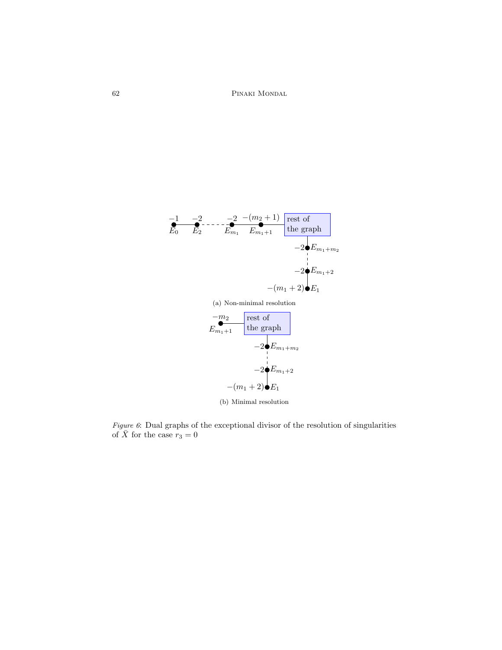

(b) Minimal resolution

Figure 6: Dual graphs of the exceptional divisor of the resolution of singularities of  $\bar{X}$  for the case  $r_3 = 0$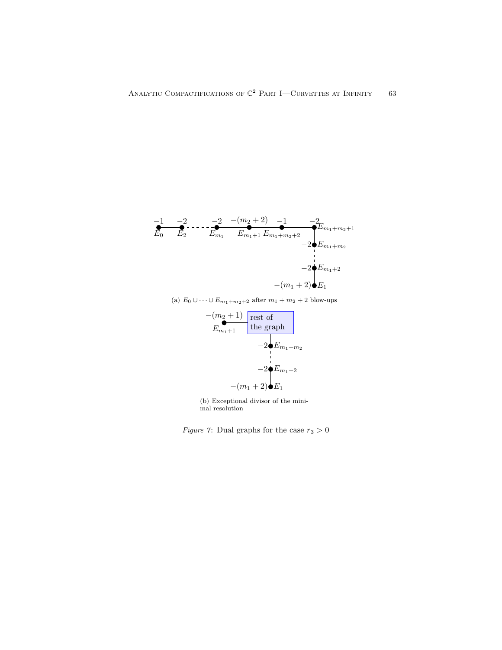$$
\begin{array}{cccc}\n-1 & -2 & -1 & -2 & -(m_2+2) & -1 & -2 \\
\hline\nE_0 & E_2 & E_{m_1} & E_{m_1+1} E_{m_1+m_2+2} & E_{m_1+m_2+1} \\
& & & -2 \cdot E_{m_1+m_2} & \\
& & & \cdot \\
& & & -2 \cdot E_{m_1+2} & \\
& & & & -2 \cdot E_{m_1+2} \\
& & & & - (m_1+2) \cdot E_1\n\end{array}
$$

(a)  $E_0 \cup \cdots \cup E_{m_1+m_2+2}$  after  $m_1 + m_2 + 2$  blow-ups



(b) Exceptional divisor of the minimal resolution

Figure 7: Dual graphs for the case  $r_3 > 0$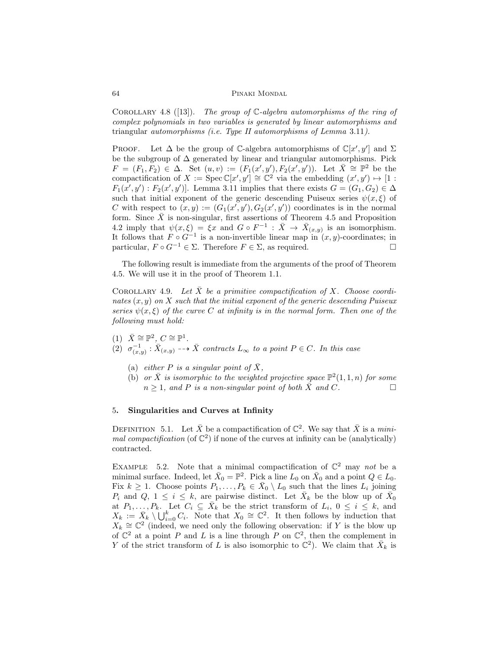COROLLARY 4.8 ([13]). The group of  $\mathbb{C}\text{-}algebra$  automorphisms of the ring of complex polynomials in two variables is generated by linear automorphisms and triangular automorphisms (i.e. Type II automorphisms of Lemma 3.11).

PROOF. Let  $\Delta$  be the group of C-algebra automorphisms of  $\mathbb{C}[x', y']$  and  $\Sigma$ be the subgroup of  $\Delta$  generated by linear and triangular automorphisms. Pick  $F = (F_1, F_2) \in \Delta$ . Set  $(u, v) := (F_1(x', y'), F_2(x', y'))$ . Let  $\overline{X} \cong \mathbb{P}^2$  be the compactification of  $X := \operatorname{Spec} \mathbb{C}[x', y'] \cong \mathbb{C}^2$  via the embedding  $(x', y') \mapsto [1 :$  $F_1(x', y') : F_2(x', y')$ . Lemma 3.11 implies that there exists  $G = (G_1, G_2) \in \Delta$ such that initial exponent of the generic descending Puiseux series  $\psi(x,\xi)$  of C with respect to  $(x, y) := (G_1(x', y'), G_2(x', y'))$  coordinates is in the normal form. Since  $\overline{X}$  is non-singular, first assertions of Theorem 4.5 and Proposition 4.2 imply that  $\psi(x,\xi) = \xi x$  and  $G \circ F^{-1} : \overline{X} \to \overline{X}_{(x,y)}$  is an isomorphism. It follows that  $F \circ G^{-1}$  is a non-invertible linear map in  $(x, y)$ -coordinates; in particular,  $F \circ G^{-1} \in \Sigma$ . Therefore  $F \in \Sigma$ , as required.

The following result is immediate from the arguments of the proof of Theorem 4.5. We will use it in the proof of Theorem 1.1.

COROLLARY 4.9. Let X be a primitive compactification of X. Choose coordinates  $(x, y)$  on X such that the initial exponent of the generic descending Puiseux series  $\psi(x,\xi)$  of the curve C at infinity is in the normal form. Then one of the following must hold:

- (1)  $\bar{X} \cong \mathbb{P}^2$ ,  $C \cong \mathbb{P}^1$ . (2)  $\sigma_{(x,y)}^{-1} : \bar{X}_{(x,y)} \dashrightarrow \bar{X}$  contracts  $L_{\infty}$  to a point  $P \in C$ . In this case
	- (a) either P is a singular point of  $\bar{X}$ ,
	- (b) or  $\bar{X}$  is isomorphic to the weighted projective space  $\mathbb{P}^2(1,1,n)$  for some  $n \geq 1$ , and P is a non-singular point of both  $\bar{X}$  and C.

# 5. Singularities and Curves at Infinity

DEFINITION 5.1. Let  $\bar{X}$  be a compactification of  $\mathbb{C}^2$ . We say that  $\bar{X}$  is a minimal compactification (of  $\mathbb{C}^2$ ) if none of the curves at infinity can be (analytically) contracted.

EXAMPLE 5.2. Note that a minimal compactification of  $\mathbb{C}^2$  may not be a minimal surface. Indeed, let  $\bar{X}_0 = \mathbb{P}^2$ . Pick a line  $L_0$  on  $\bar{X}_0$  and a point  $Q \in L_0$ . Fix  $k \geq 1$ . Choose points  $P_1, \ldots, P_k \in \overline{X}_0 \setminus L_0$  such that the lines  $L_i$  joining  $P_i$  and  $Q, 1 \leq i \leq k$ , are pairwise distinct. Let  $\bar{X}_k$  be the blow up of  $\bar{X}_0$ at  $P_1, \ldots, P_k$ . Let  $C_i \subseteq \overline{X}_k$  be the strict transform of  $L_i$ ,  $0 \le i \le k$ , and  $X_k := \bar{X}_k \setminus \bigcup_{i=0}^k C_i$ . Note that  $X_0 \cong \mathbb{C}^2$ . It then follows by induction that  $X_k \cong \mathbb{C}^2$  (indeed, we need only the following observation: if Y is the blow up of  $\mathbb{C}^2$  at a point P and L is a line through P on  $\mathbb{C}^2$ , then the complement in Y of the strict transform of L is also isomorphic to  $\mathbb{C}^2$ ). We claim that  $\bar{X}_k$  is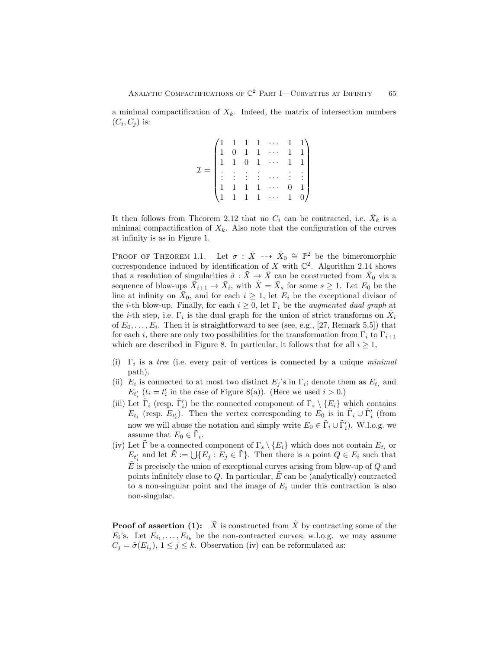a minimal compactification of  $X_k$ . Indeed, the matrix of intersection numbers  $(C_i, C_j)$  is:

$$
\mathcal{I} = \begin{pmatrix}\n1 & 1 & 1 & 1 & \cdots & 1 & 1 \\
1 & 0 & 1 & 1 & \cdots & 1 & 1 \\
1 & 1 & 0 & 1 & \cdots & 1 & 1 \\
\vdots & \vdots & \vdots & \vdots & \cdots & \vdots & \vdots \\
1 & 1 & 1 & 1 & \cdots & 0 & 1 \\
1 & 1 & 1 & 1 & \cdots & 1 & 0\n\end{pmatrix}
$$

It then follows from Theorem 2.12 that no  $C_i$  can be contracted, i.e.  $\bar{X}_k$  is a minimal compactification of  $X_k$ . Also note that the configuration of the curves at infinity is as in Figure 1.

PROOF OF THEOREM 1.1. Let  $\sigma : \bar{X} \dashrightarrow \bar{X}_0 \cong \mathbb{P}^2$  be the bimeromorphic correspondence induced by identification of X with  $\mathbb{C}^2$ . Algorithm 2.14 shows that a resolution of singularities  $\tilde{\sigma} : \tilde{X} \to \bar{X}$  can be constructed from  $\bar{X}_0$  via a sequence of blow-ups  $\bar{X}_{i+1} \to \bar{X}_i$ , with  $\tilde{X} = \bar{X}_s$  for some  $s \geq 1$ . Let  $E_0$  be the line at infinity on  $\overline{X}_0$ , and for each  $i \geq 1$ , let  $E_i$  be the exceptional divisor of the *i*-th blow-up. Finally, for each  $i \geq 0$ , let  $\Gamma_i$  be the *augmented dual graph* at the *i*-th step, i.e.  $\Gamma_i$  is the dual graph for the union of strict transforms on  $\bar{X}_i$ of  $E_0, \ldots, E_i$ . Then it is straightforward to see (see, e.g., [27, Remark 5.5]) that for each i, there are only two possibilities for the transformation from  $\Gamma_i$  to  $\Gamma_{i+1}$ which are described in Figure 8. In particular, it follows that for all  $i \geq 1$ ,

- (i)  $\Gamma_i$  is a tree (i.e. every pair of vertices is connected by a unique *minimal* path).
- (ii)  $E_i$  is connected to at most two distinct  $E_j$ 's in  $\Gamma_i$ ; denote them as  $E_{t_i}$  and  $E_{t_i'}(t_i = t_i'$  in the case of Figure 8(a)). (Here we used  $i > 0$ .)
- (iii) Let  $\tilde{\Gamma}_i$  (resp.  $\tilde{\Gamma}'_i$ ) be the connected component of  $\Gamma_s \setminus \{E_i\}$  which contains  $E_{t_i}$  (resp.  $E_{t'_i}$ ). Then the vertex corresponding to  $E_0$  is in  $\tilde{\Gamma}_i \cup \tilde{\Gamma}'_i$  (from now we will abuse the notation and simply write  $E_0 \in \tilde{\Gamma}_i \cup \tilde{\Gamma}'_i$ . W.l.o.g. we assume that  $E_0 \in \tilde{\Gamma}_i$ .
- (iv) Let  $\tilde{\Gamma}$  be a connected component of  $\Gamma_s \setminus \{E_i\}$  which does not contain  $E_{t_i}$  or  $E_{t_i}$  and let  $\tilde{E} := \bigcup \{ E_j : E_j \in \tilde{\Gamma} \}.$  Then there is a point  $Q \in E_i$  such that  $\hat{E}$  is precisely the union of exceptional curves arising from blow-up of  $Q$  and points infinitely close to  $Q$ . In particular,  $E$  can be (analytically) contracted to a non-singular point and the image of  $E_i$  under this contraction is also non-singular.

**Proof of assertion (1):**  $\overline{X}$  is constructed from  $\overline{X}$  by contracting some of the  $E_i$ 's. Let  $E_{i_1}, \ldots, E_{i_k}$  be the non-contracted curves; w.l.o.g. we may assume  $C_j = \tilde{\sigma}(E_{i_j}), 1 \leq j \leq k$ . Observation (iv) can be reformulated as: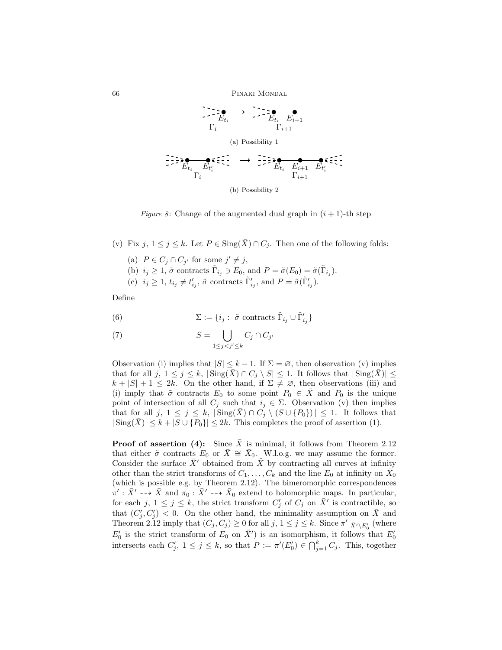

Figure 8: Change of the augmented dual graph in  $(i + 1)$ -th step

(v) Fix  $j, 1 \leq j \leq k$ . Let  $P \in \text{Sing}(\bar{X}) \cap C_j$ . Then one of the following folds:

- (a)  $P \in C_j \cap C_{j'}$  for some  $j' \neq j$ ,
- (b)  $i_j \geq 1$ ,  $\tilde{\sigma}$  contracts  $\tilde{\Gamma}_{i_j} \ni E_0$ , and  $P = \tilde{\sigma}(E_0) = \tilde{\sigma}(\tilde{\Gamma}_{i_j}).$
- (c)  $i_j \geq 1$ ,  $t_{i_j} \neq t'_{i_j}$ ,  $\tilde{\sigma}$  contracts  $\tilde{\Gamma}'_{i_j}$ , and  $P = \tilde{\sigma}(\tilde{\Gamma}'_{i_j})$ .

Define

(6) 
$$
\Sigma := \{i_j : \tilde{\sigma} \text{ contracts } \tilde{\Gamma}_{i_j} \cup \tilde{\Gamma}'_{i_j}\}
$$

(7) 
$$
S = \bigcup_{1 \leq j < j' \leq k} C_j \cap C_{j'}
$$

Observation (i) implies that  $|S| \leq k - 1$ . If  $\Sigma = \emptyset$ , then observation (v) implies that for all j,  $1 \leq j \leq k$ ,  $|\text{Sing}(\overline{X}) \cap C_j \setminus S| \leq 1$ . It follows that  $|\text{Sing}(\overline{X})| \leq$  $k + |S| + 1 \leq 2k$ . On the other hand, if  $\Sigma \neq \emptyset$ , then observations (iii) and (i) imply that  $\tilde{\sigma}$  contracts  $E_0$  to some point  $P_0 \in \overline{X}$  and  $P_0$  is the unique point of intersection of all  $C_j$  such that  $i_j \in \Sigma$ . Observation (v) then implies that for all  $j, 1 \leq j \leq k$ ,  $|\text{Sing}(\overline{X}) \cap C_j \setminus (S \cup \{P_0\})| \leq 1$ . It follows that  $|\text{Sing}(\overline{X})| \leq k + |S \cup \{P_0\}| \leq 2k$ . This completes the proof of assertion (1).

**Proof of assertion (4):** Since  $\overline{X}$  is minimal, it follows from Theorem 2.12 that either  $\tilde{\sigma}$  contracts  $E_0$  or  $\bar{X} \cong \bar{X}_0$ . W.l.o.g. we may assume the former. Consider the surface  $\bar{X}'$  obtained from  $\tilde{X}$  by contracting all curves at infinity other than the strict transforms of  $C_1, \ldots, C_k$  and the line  $E_0$  at infinity on  $\bar{X_0}$ (which is possible e.g. by Theorem 2.12). The bimeromorphic correspondences  $\bar{\pi}' : \bar{X}' \dashrightarrow \bar{X}$  and  $\bar{\pi_0} : \bar{X}' \dashrightarrow \bar{X}_0$  extend to holomorphic maps. In particular, for each j,  $1 \leq j \leq k$ , the strict transform  $C'_j$  of  $C_j$  on  $\overline{X}'$  is contractible, so that  $(C_j', C_j') < 0$ . On the other hand, the minimality assumption on  $\overline{X}$  and Theorem 2.12 imply that  $(C_j, C_j) \geq 0$  for all  $j, 1 \leq j \leq k$ . Since  $\pi' |_{\bar{X}' \setminus E'_0}$  (where  $E'_0$  is the strict transform of  $E_0$  on  $\bar{X}'$ ) is an isomorphism, it follows that  $E'_0$ intersects each  $C'_j$ ,  $1 \leq j \leq k$ , so that  $P := \pi'(E'_0) \in \bigcap_{j=1}^k C_j$ . This, together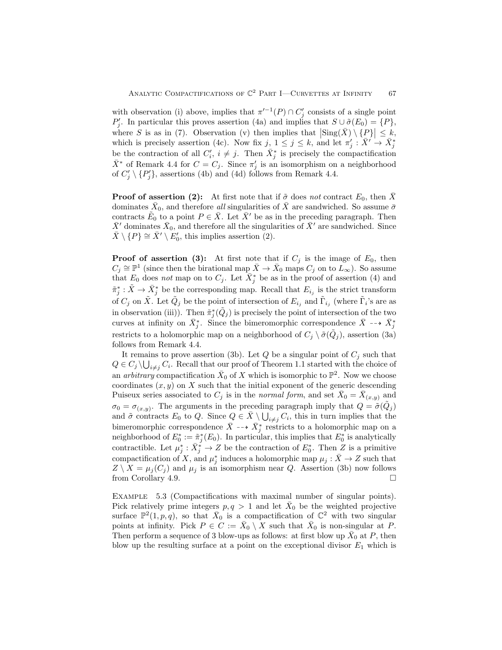with observation (i) above, implies that  $\pi'^{-1}(P) \cap C'_j$  consists of a single point P'<sub>j</sub>. In particular this proves assertion (4a) and implies that  $S \cup \tilde{\sigma}(E_0) = \{P\},\$ where S is as in (7). Observation (v) then implies that  $|\text{Sing}(\bar{X}) \setminus \{P\}| \leq k$ , which is precisely assertion (4c). Now fix  $j, 1 \leq j \leq k$ , and let  $\pi'_j : \overline{X'} \to \overline{X}^*_j$ be the contraction of all  $C_i$ ,  $i \neq j$ . Then  $\bar{X}_j^*$  is precisely the compactification  $\bar{X}^*$  of Remark 4.4 for  $C = C_j$ . Since  $\pi'_j$  is an isomorphism on a neighborhood of  $C'_j \setminus \{P'_j\}$ , assertions (4b) and (4d) follows from Remark 4.4.

**Proof of assertion (2):** At first note that if  $\tilde{\sigma}$  does not contract  $E_0$ , then X dominates  $\bar{X}_0$ , and therefore *all* singularities of  $\bar{X}$  are sandwiched. So assume  $\bar{\sigma}$ contracts  $\tilde{E}_0$  to a point  $P \in \bar{X}$ . Let  $\bar{X}'$  be as in the preceding paragraph. Then  $\bar{X}'$  dominates  $\bar{X}_0$ , and therefore all the singularities of  $\bar{X}'$  are sandwiched. Since  $\bar{X} \setminus \{P\} \cong \bar{X}' \setminus E'_0$ , this implies assertion (2).

**Proof of assertion (3):** At first note that if  $C_j$  is the image of  $E_0$ , then  $C_j \cong \mathbb{P}^1$  (since then the birational map  $\bar{X} \to \bar{X}_0$  maps  $C_j$  on to  $\bar{L}_{\infty}$ ). So assume that  $E_0$  does not map on to  $C_j$ . Let  $\overline{X}_j^*$  be as in the proof of assertion (4) and  $\tilde{\pi}_{j}^{*} : \tilde{X} \to \bar{X}_{j}^{*}$  be the corresponding map. Recall that  $E_{i,j}$  is the strict transform of  $C_j$  on  $\tilde{X}$ . Let  $\tilde{Q}_j$  be the point of intersection of  $E_{i_j}$  and  $\tilde{\Gamma}_{i_j}$  (where  $\tilde{\Gamma}_i$ 's are as in observation (iii)). Then  $\tilde{\pi}_{j}^{*}(\tilde{Q}_{j})$  is precisely the point of intersection of the two curves at infinity on  $\bar{X}_j^*$ . Since the bimeromorphic correspondence  $\bar{X} \dashrightarrow \bar{X}_j^*$ restricts to a holomorphic map on a neighborhood of  $C_j \setminus \tilde{\sigma}(\tilde{Q}_j)$ , assertion (3a) follows from Remark 4.4.

It remains to prove assertion (3b). Let  $Q$  be a singular point of  $C_i$  such that  $Q \in C_j \setminus \bigcup_{i \neq j} C_i$ . Recall that our proof of Theorem 1.1 started with the choice of an *arbitrary* compactification  $\bar{X}_0$  of X which is isomorphic to  $\mathbb{P}^2$ . Now we choose coordinates  $(x, y)$  on X such that the initial exponent of the generic descending Puiseux series associated to  $C_j$  is in the normal form, and set  $\bar{X}_0 = \bar{X}_{(x,y)}$  and  $\sigma_0 = \sigma_{(x,y)}$ . The arguments in the preceding paragraph imply that  $Q = \tilde{\sigma}(\tilde{Q}_j)$ and  $\tilde{\sigma}$  contracts  $E_0$  to Q. Since  $Q \in \overline{X} \setminus \bigcup_{i \neq j} C_i$ , this in turn implies that the bimeromorphic correspondence  $\bar{X} \dashrightarrow \bar{X}^*_j$  restricts to a holomorphic map on a neighborhood of  $E_0^* := \tilde{\pi}_j^*(E_0)$ . In particular, this implies that  $E_0^*$  is analytically contractible. Let  $\mu_j^* : \bar{X}_j^* \to Z$  be the contraction of  $E_0^*$ . Then Z is a primitive compactification of X, and  $\mu_j^*$  induces a holomorphic map  $\mu_j : \bar{X} \to Z$  such that  $Z \setminus X = \mu_j(C_j)$  and  $\mu_j$  is an isomorphism near Q. Assertion (3b) now follows from Corollary 4.9.

Example 5.3 (Compactifications with maximal number of singular points). Pick relatively prime integers  $p, q > 1$  and let  $\bar{X}_0$  be the weighted projective surface  $\mathbb{P}^2(1,p,q)$ , so that  $\bar{X}_0$  is a compactification of  $\mathbb{C}^2$  with two singular points at infinity. Pick  $P \in C := \overline{X}_0 \setminus \overline{X}$  such that  $\overline{X}_0$  is non-singular at P. Then perform a sequence of 3 blow-ups as follows: at first blow up  $\bar{X}_0$  at P, then blow up the resulting surface at a point on the exceptional divisor  $E_1$  which is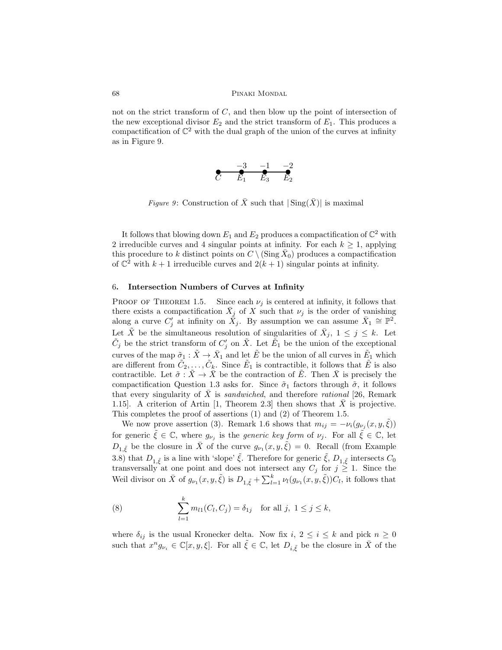not on the strict transform of  $C$ , and then blow up the point of intersection of the new exceptional divisor  $E_2$  and the strict transform of  $E_1$ . This produces a compactification of  $\mathbb{C}^2$  with the dual graph of the union of the curves at infinity as in Figure 9.

$$
\overbrace{C} \quad \overbrace{E_1}^{-3} \quad \overbrace{E_3}^{-1} \quad \overbrace{E_2}^{-2}
$$

Figure 9: Construction of  $\bar{X}$  such that  $|\operatorname{Sing}(\bar{X})|$  is maximal

It follows that blowing down  $E_1$  and  $E_2$  produces a compactification of  $\mathbb{C}^2$  with 2 irreducible curves and 4 singular points at infinity. For each  $k \geq 1$ , applying this procedure to k distinct points on  $C \setminus (\text{Sing } \bar{X}_0)$  produces a compactification of  $\mathbb{C}^2$  with  $k+1$  irreducible curves and  $2(k+1)$  singular points at infinity.

#### 6. Intersection Numbers of Curves at Infinity

PROOF OF THEOREM 1.5. Since each  $\nu_j$  is centered at infinity, it follows that there exists a compactification  $\overline{X}_j$  of X such that  $\nu_j$  is the order of vanishing along a curve  $C'_j$  at infinity on  $\check{X}_j$ . By assumption we can assume  $\bar{X}_1 \cong \mathbb{P}^2$ . Let  $\tilde{X}$  be the simultaneous resolution of singularities of  $\bar{X}_j$ ,  $1 \leq j \leq k$ . Let  $\tilde{C}_j$  be the strict transform of  $C'_j$  on  $\tilde{X}$ . Let  $\tilde{E}_1$  be the union of the exceptional curves of the map  $\tilde{\sigma}_1 : \tilde{X} \to \bar{X}_1$  and let  $\tilde{E}$  be the union of all curves in  $\tilde{E}_1$  which are different from  $\tilde{C}_2, \ldots, \tilde{C}_k$ . Since  $\tilde{E}_1$  is contractible, it follows that  $\tilde{E}$  is also contractible. Let  $\tilde{\sigma}: \tilde{X} \to \bar{X}$  be the contraction of  $\tilde{E}$ . Then  $\bar{X}$  is precisely the compactification Question 1.3 asks for. Since  $\tilde{\sigma}_1$  factors through  $\tilde{\sigma}$ , it follows that every singularity of X is sandwiched, and therefore rational [26, Remark] 1.15]. A criterion of Artin [1, Theorem 2.3] then shows that X is projective. This completes the proof of assertions (1) and (2) of Theorem 1.5.

We now prove assertion (3). Remark 1.6 shows that  $m_{ij} = -\nu_i(g_{\nu_j}(x, y, \tilde{\xi}))$ for generic  $\tilde{\xi} \in \mathbb{C}$ , where  $g_{\nu_j}$  is the *generic key form* of  $\nu_j$ . For all  $\tilde{\xi} \in \mathbb{C}$ , let  $D_{1,\tilde{\xi}}$  be the closure in  $\bar{X}$  of the curve  $g_{\nu_1}(x, y, \tilde{\xi}) = 0$ . Recall (from Example 3.8) that  $D_{1,\tilde{\xi}}$  is a line with 'slope'  $\tilde{\xi}$ . Therefore for generic  $\tilde{\xi}$ ,  $D_{1,\tilde{\xi}}$  intersects  $C_0$ transversally at one point and does not intersect any  $C_j$  for  $j \geq 1$ . Since the Weil divisor on  $\bar{X}$  of  $g_{\nu_1}(x, y, \tilde{\xi})$  is  $D_{1,\tilde{\xi}} + \sum_{l=1}^k \nu_l(g_{\nu_1}(x, y, \tilde{\xi})) C_l$ , it follows that

(8) 
$$
\sum_{l=1}^{k} m_{l1}(C_l, C_j) = \delta_{1j} \text{ for all } j, 1 \le j \le k,
$$

where  $\delta_{ij}$  is the usual Kronecker delta. Now fix  $i, 2 \leq i \leq k$  and pick  $n \geq 0$ such that  $x^n g_{\nu_i} \in \mathbb{C}[x, y, \xi]$ . For all  $\tilde{\xi} \in \mathbb{C}$ , let  $D_{i, \tilde{\xi}}$  be the closure in  $\overline{X}$  of the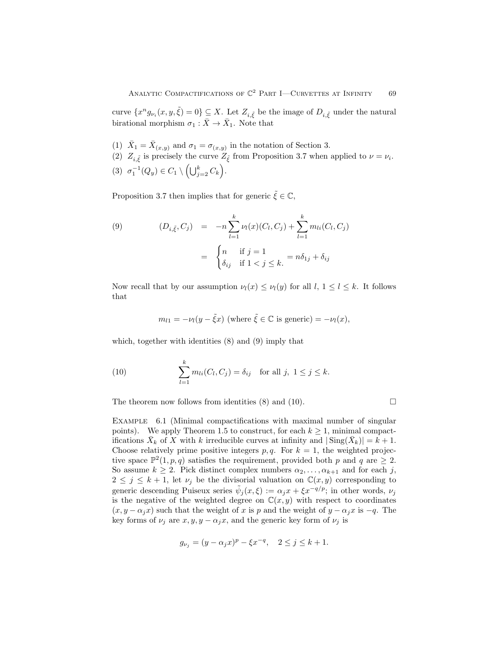curve  $\{x^n g_{\nu_i}(x,y,\tilde{\xi})=0\} \subseteq X$ . Let  $Z_{i,\tilde{\xi}}$  be the image of  $D_{i,\tilde{\xi}}$  under the natural birational morphism  $\sigma_1 : \bar{X} \to \bar{X}_1$ . Note that

- (1)  $\bar{X}_1 = \bar{X}_{(x,y)}$  and  $\sigma_1 = \sigma_{(x,y)}$  in the notation of Section 3.
- (2)  $Z_{i,\tilde{\xi}}$  is precisely the curve  $Z_{\tilde{\xi}}$  from Proposition 3.7 when applied to  $\nu = \nu_i$ . (3)  $\sigma_1^{-1}(Q_y) \in C_1 \setminus \left(\bigcup_{j=2}^k C_k\right).$

Proposition 3.7 then implies that for generic  $\tilde{\xi} \in \mathbb{C}$ ,

(9) 
$$
(D_{i,\tilde{\xi}}, C_j) = -n \sum_{l=1}^k \nu_l(x) (C_l, C_j) + \sum_{l=1}^k m_{li} (C_l, C_j)
$$

$$
= \begin{cases} n & \text{if } j = 1 \\ \delta_{ij} & \text{if } 1 < j \leq k. \end{cases} = n \delta_{1j} + \delta_{ij}
$$

Now recall that by our assumption  $\nu_l(x) \leq \nu_l(y)$  for all  $l, 1 \leq l \leq k$ . It follows that

$$
m_{l1} = -\nu_l(y - \tilde{\xi}x)
$$
 (where  $\tilde{\xi} \in \mathbb{C}$  is generic) =  $-\nu_l(x)$ ,

which, together with identities (8) and (9) imply that

(10) 
$$
\sum_{l=1}^{k} m_{li}(C_l, C_j) = \delta_{ij} \text{ for all } j, 1 \le j \le k.
$$

The theorem now follows from identities (8) and (10).  $\Box$ 

Example 6.1 (Minimal compactifications with maximal number of singular points). We apply Theorem 1.5 to construct, for each  $k \geq 1$ , minimal compactifications  $\bar{X}_k$  of X with k irreducible curves at infinity and  $|\operatorname{Sing}(\bar{X}_k)| = k + 1$ . Choose relatively prime positive integers  $p, q$ . For  $k = 1$ , the weighted projective space  $\mathbb{P}^2(1,p,q)$  satisfies the requirement, provided both p and q are  $\geq 2$ . So assume  $k \geq 2$ . Pick distinct complex numbers  $\alpha_2, \ldots, \alpha_{k+1}$  and for each j,  $2 \leq j \leq k+1$ , let  $\nu_j$  be the divisorial valuation on  $\mathbb{C}(x, y)$  corresponding to generic descending Puiseux series  $\tilde{\psi}_j(x,\xi) := \alpha_j x + \xi x^{-q/p}$ ; in other words,  $\nu_j$ is the negative of the weighted degree on  $\mathbb{C}(x, y)$  with respect to coordinates  $(x, y - \alpha_j x)$  such that the weight of x is p and the weight of  $y - \alpha_j x$  is  $-q$ . The key forms of  $\nu_j$  are  $x, y, y - \alpha_j x$ , and the generic key form of  $\nu_j$  is

$$
g_{\nu_j} = (y - \alpha_j x)^p - \xi x^{-q}, \quad 2 \le j \le k + 1.
$$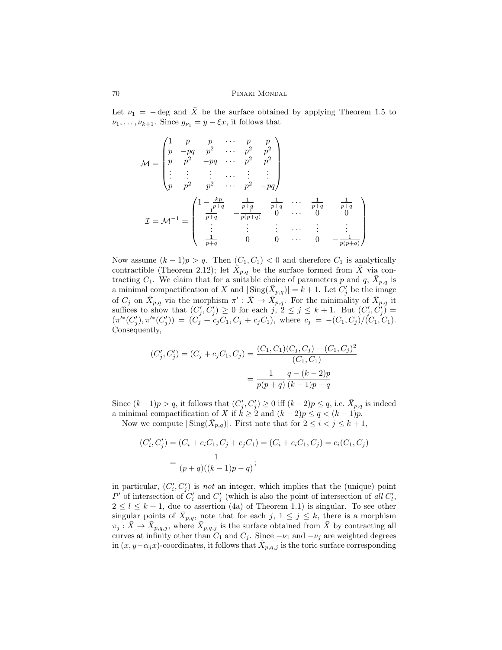Let  $\nu_1 = -\text{deg}$  and  $\overline{X}$  be the surface obtained by applying Theorem 1.5 to  $\nu_1, \ldots, \nu_{k+1}$ . Since  $g_{\nu_1} = y - \xi x$ , it follows that

$$
\mathcal{M} = \begin{pmatrix}\n1 & p & p & \cdots & p & p \\
p & -pq & p^2 & \cdots & p^2 & p^2 \\
p & p^2 & -pq & \cdots & p^2 & p^2 \\
\vdots & \vdots & \vdots & \cdots & \vdots & \vdots \\
p & p^2 & p^2 & \cdots & p^2 & -pq\n\end{pmatrix}
$$
\n
$$
\mathcal{I} = \mathcal{M}^{-1} = \begin{pmatrix}\n1 - \frac{kp}{p+q} & \frac{1}{p+q} & \frac{1}{p+q} & \cdots & \frac{1}{p+q} & \frac{1}{p+q} \\
\frac{1}{p+q} & -\frac{1}{p(p+q)} & 0 & \cdots & 0 & 0 \\
\vdots & \vdots & \vdots & \cdots & \vdots & \vdots \\
\frac{1}{p+q} & 0 & 0 & \cdots & 0 & -\frac{1}{p(p+q)}\n\end{pmatrix}
$$

Now assume  $(k-1)p > q$ . Then  $(C_1, C_1) < 0$  and therefore  $C_1$  is analytically contractible (Theorem 2.12); let  $\bar{X}_{p,q}$  be the surface formed from  $\bar{X}$  via contracting  $C_1$ . We claim that for a suitable choice of parameters p and q,  $\bar{X}_{p,q}$  is a minimal compactification of X and  $|\text{Sing}(\bar{X}_{p,q})| = k+1$ . Let  $C'_j$  be the image of  $C_j$  on  $\bar{X}_{p,q}$  via the morphism  $\pi': \bar{X} \to \bar{X}_{p,q}$ . For the minimality of  $\bar{X}_{p,q}$  it suffices to show that  $(C'_j, C'_j) \geq 0$  for each  $j, 2 \leq j \leq k+1$ . But  $(C'_j, C'_j)$  $(\pi'^*(C'_j), \pi'^*(C'_j)) = (C_j + c_jC_1, C_j + c_jC_1)$ , where  $c_j = -(C_1, C_j)/(\overline{C_1}, C_1)$ . Consequently,

$$
(C'_j, C'_j) = (C_j + c_j C_1, C_j) = \frac{(C_1, C_1)(C_j, C_j) - (C_1, C_j)^2}{(C_1, C_1)}
$$

$$
= \frac{1}{p(p+q)} \frac{q - (k-2)p}{(k-1)p - q}
$$

Since  $(k-1)p > q$ , it follows that  $(C'_j, C'_j) \geq 0$  iff  $(k-2)p \leq q$ , i.e.  $\bar{X}_{p,q}$  is indeed a minimal compactification of X if  $k \ge 2$  and  $(k-2)p \le q < (k-1)p$ .

Now we compute  $|\operatorname{Sing}(\bar{X}_{p,q})|$ . First note that for  $2 \leq i < j \leq k+1$ ,

$$
(C'_i, C'_j) = (C_i + c_i C_1, C_j + c_j C_1) = (C_i + c_i C_1, C_j) = c_i (C_1, C_j)
$$

$$
= \frac{1}{(p+q)((k-1)p-q)};
$$

in particular,  $(C_i, C_j)$  is not an integer, which implies that the (unique) point P' of intersection of  $C_i'$  and  $C_j'$  (which is also the point of intersection of all  $C_i'$ ,  $2 \leq l \leq k+1$ , due to assertion (4a) of Theorem 1.1) is singular. To see other singular points of  $\bar{X}_{p,q}$ , note that for each j,  $1 \leq j \leq k$ , there is a morphism  $\pi_j : \bar{X} \to \bar{X}_{p,q,j}$ , where  $\bar{X}_{p,q,j}$  is the surface obtained from  $\bar{X}$  by contracting all curves at infinity other than  $C_1$  and  $C_j$ . Since  $-\nu_1$  and  $-\nu_j$  are weighted degrees in  $(x, y-\alpha_j x)$ -coordinates, it follows that  $\bar{X}_{p,q,j}$  is the toric surface corresponding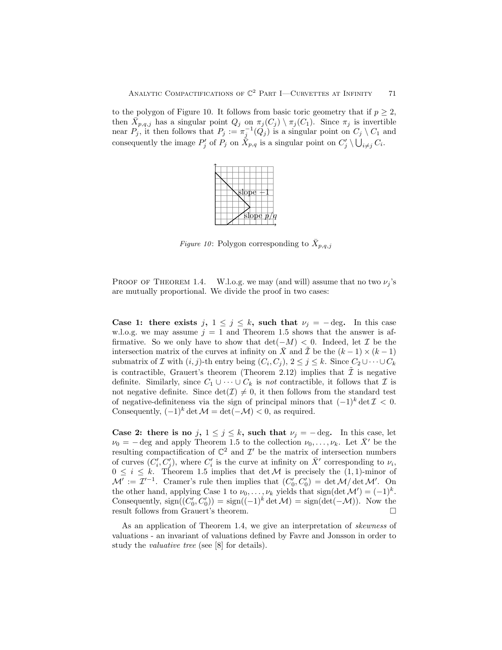to the polygon of Figure 10. It follows from basic toric geometry that if  $p \geq 2$ , then  $\overline{X}_{p,q,j}$  has a singular point  $Q_j$  on  $\pi_j(C_j) \setminus \pi_j(C_1)$ . Since  $\pi_j$  is invertible near  $P_j$ , it then follows that  $P_j := \pi_j^{-1}(Q_j)$  is a singular point on  $C_j \setminus C_1$  and consequently the image  $P'_j$  of  $P_j$  on  $\bar{X}_{p,q}$  is a singular point on  $C'_j \setminus \bigcup_{i \neq j} C_i$ .



Figure 10: Polygon corresponding to  $\bar{X}_{p,q,j}$ 

PROOF OF THEOREM 1.4. W.l.o.g. we may (and will) assume that no two  $\nu_i$ 's are mutually proportional. We divide the proof in two cases:

Case 1: there exists j,  $1 \leq j \leq k$ , such that  $\nu_j = -\text{deg.}$  In this case w.l.o.g. we may assume  $j = 1$  and Theorem 1.5 shows that the answer is affirmative. So we only have to show that  $\det(-M) < 0$ . Indeed, let  $\mathcal I$  be the intersection matrix of the curves at infinity on  $\overline{X}$  and  $\overline{X}$  be the  $(k - 1) \times (k - 1)$ submatrix of  $\mathcal I$  with  $(i, j)$ -th entry being  $(C_i, C_j)$ ,  $2 \leq j \leq k$ . Since  $C_2 \cup \cdots \cup C_k$ is contractible, Grauert's theorem (Theorem 2.12) implies that  $\tilde{\mathcal{I}}$  is negative definite. Similarly, since  $C_1 \cup \cdots \cup C_k$  is not contractible, it follows that  $\mathcal I$  is not negative definite. Since  $\det(\mathcal{I}) \neq 0$ , it then follows from the standard test of negative-definiteness via the sign of principal minors that  $(-1)^k \det \mathcal{I} < 0$ . Consequently,  $(-1)^k \det \mathcal{M} = \det(-\mathcal{M}) < 0$ , as required.

Case 2: there is no j,  $1 \le j \le k$ , such that  $\nu_j = -\deg$ . In this case, let  $\nu_0 = - \text{deg}$  and apply Theorem 1.5 to the collection  $\nu_0, \ldots, \nu_k$ . Let  $\bar{X}'$  be the resulting compactification of  $\mathbb{C}^2$  and  $\mathcal{I}'$  be the matrix of intersection numbers of curves  $(C_i', C_j')$ , where  $C_i'$  is the curve at infinity on  $\bar{X}'$  corresponding to  $\nu_i$ ,  $0 \leq i \leq k$ . Theorem 1.5 implies that  $\det M$  is precisely the  $(1, 1)$ -minor of  $\mathcal{M}' := \mathcal{I}'^{-1}$ . Cramer's rule then implies that  $(C'_0, C'_0) = \det \mathcal{M}/\det \mathcal{M}'$ . On the other hand, applying Case 1 to  $\nu_0, \ldots, \nu_k$  yields that sign(det  $\mathcal{M}' = (-1)^k$ . Consequently,  $sign((C'_0, C'_0)) = sign((-1)^k det \mathcal{M}) = sign(det(-\mathcal{M}))$ . Now the result follows from Grauert's theorem.

As an application of Theorem 1.4, we give an interpretation of skewness of valuations - an invariant of valuations defined by Favre and Jonsson in order to study the valuative tree (see [8] for details).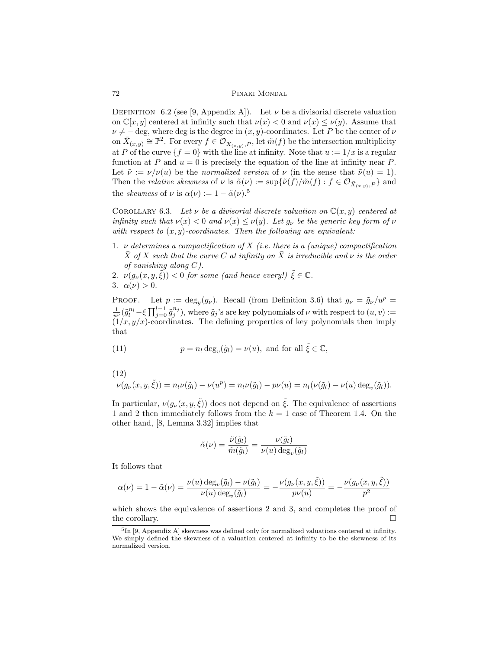DEFINITION 6.2 (see [9, Appendix A]). Let  $\nu$  be a divisorial discrete valuation on  $\mathbb{C}[x, y]$  centered at infinity such that  $\nu(x) < 0$  and  $\nu(x) \leq \nu(y)$ . Assume that  $\nu \neq -\deg$ , where deg is the degree in  $(x, y)$ -coordinates. Let P be the center of  $\nu$ on  $\bar{X}_{(x,y)} \cong \mathbb{P}^2$ . For every  $f \in \mathcal{O}_{\bar{X}_{(x,y)},P}$ , let  $\tilde{m}(f)$  be the intersection multiplicity at P of the curve  $\{f = 0\}$  with the line at infinity. Note that  $u := 1/x$  is a regular function at P and  $u = 0$  is precisely the equation of the line at infinity near P. Let  $\tilde{\nu} := \nu/\nu(u)$  be the normalized version of  $\nu$  (in the sense that  $\tilde{\nu}(u) = 1$ ). Then the *relative skewness* of  $\nu$  is  $\tilde{\alpha}(\nu) := \sup \{ \tilde{\nu}(f) / \tilde{m}(f) : f \in \mathcal{O}_{\bar{X}_{(x,y)},P} \}$  and the *skewness* of  $\nu$  is  $\alpha(\nu) := 1 - \tilde{\alpha}(\nu)$ .<sup>5</sup>

COROLLARY 6.3. Let  $\nu$  be a divisorial discrete valuation on  $\mathbb{C}(x, y)$  centered at infinity such that  $\nu(x) < 0$  and  $\nu(x) \leq \nu(y)$ . Let  $g_{\nu}$  be the generic key form of  $\nu$ with respect to  $(x, y)$ -coordinates. Then the following are equivalent:

- 1.  $\nu$  determines a compactification of X (i.e. there is a (unique) compactification X of X such that the curve C at infinity on X is irreducible and  $\nu$  is the order of vanishing along  $C$ ).
- 2.  $\nu(g_{\nu}(x, y, \tilde{\xi})) < 0$  for some (and hence every!)  $\tilde{\xi} \in \mathbb{C}$ .
- 3.  $\alpha(\nu) > 0$ .

PROOF. Let  $p := \deg_y(g_\nu)$ . Recall (from Definition 3.6) that  $g_\nu = \tilde{g}_\nu/u^p =$  $\frac{1}{u^p}(\tilde{g}_l^{n_l}-\xi\prod_{j=0}^{l-1}\tilde{g}_j^{n_j}),$  where  $\tilde{g}_j$ 's are key polynomials of  $\nu$  with respect to  $(u, v) :=$  $(1/x, y/x)$ -coordinates. The defining properties of key polynomials then imply that

(11) 
$$
p = n_l \deg_v(\tilde{g}_l) = \nu(u), \text{ and for all } \tilde{\xi} \in \mathbb{C},
$$

(12)

$$
\nu(g_{\nu}(x,y,\tilde{\xi})) = n_{l}\nu(\tilde{g}_{l}) - \nu(u^{p}) = n_{l}\nu(\tilde{g}_{l}) - p\nu(u) = n_{l}(\nu(\tilde{g}_{l}) - \nu(u)\deg_{v}(\tilde{g}_{l})).
$$

In particular,  $\nu(g_{\nu}(x, y, \tilde{\xi}))$  does not depend on  $\tilde{\xi}$ . The equivalence of assertions 1 and 2 then immediately follows from the  $k = 1$  case of Theorem 1.4. On the other hand, [8, Lemma 3.32] implies that

$$
\tilde{\alpha}(\nu) = \frac{\tilde{\nu}(\tilde{g}_l)}{\tilde{m}(\tilde{g}_l)} = \frac{\nu(\tilde{g}_l)}{\nu(u)\deg_v(\tilde{g}_l)}
$$

It follows that

$$
\alpha(\nu) = 1 - \tilde{\alpha}(\nu) = \frac{\nu(u) \deg_v(\tilde{g}_l) - \nu(\tilde{g}_l)}{\nu(u) \deg_v(\tilde{g}_l)} = -\frac{\nu(g_\nu(x, y, \tilde{\xi}))}{p\nu(u)} = -\frac{\nu(g_\nu(x, y, \tilde{\xi}))}{p^2}
$$

which shows the equivalence of assertions 2 and 3, and completes the proof of the corollary.  $\Box$ 

<sup>&</sup>lt;sup>5</sup>In [9, Appendix A] skewness was defined only for normalized valuations centered at infinity. We simply defined the skewness of a valuation centered at infinity to be the skewness of its normalized version.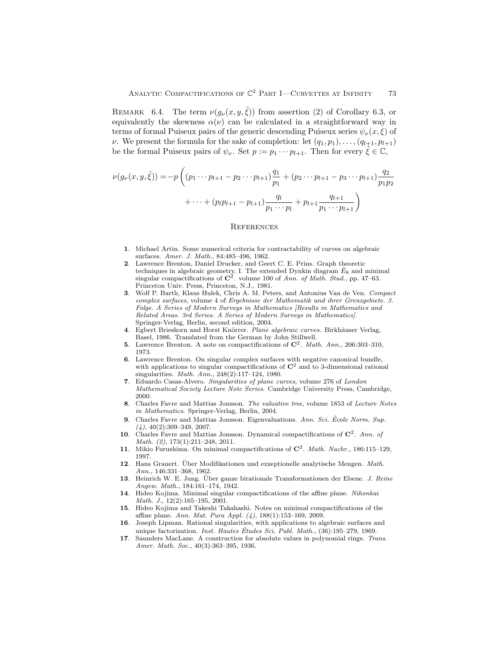REMARK 6.4. The term  $\nu(g_{\nu}(x, y, \tilde{\xi}))$  from assertion (2) of Corollary 6.3, or equivalently the skewness  $\alpha(\nu)$  can be calculated in a straightforward way in terms of formal Puiseux pairs of the generic descending Puiseux series  $\psi_{\nu}(x,\xi)$  of  $\nu$ . We present the formula for the sake of completion: let  $(q_1, p_1), \ldots, (q_{l+1}, p_{l+1})$ be the formal Puiseux pairs of  $\psi_{\nu}$ . Set  $p := p_1 \cdots p_{l+1}$ . Then for every  $\tilde{\xi} \in \mathbb{C}$ ,

$$
\nu(g_{\nu}(x, y, \tilde{\xi})) = -p \left( (p_1 \cdots p_{l+1} - p_2 \cdots p_{l+1}) \frac{q_1}{p_1} + (p_2 \cdots p_{l+1} - p_3 \cdots p_{l+1}) \frac{q_2}{p_1 p_2} + \cdots + (p_l p_{l+1} - p_{l+1}) \frac{q_l}{p_1 \cdots p_l} + p_{l+1} \frac{q_{l+1}}{p_1 \cdots p_{l+1}} \right)
$$

#### **REFERENCES**

- 1. Michael Artin. Some numerical criteria for contractability of curves on algebraic surfaces. Amer. J. Math., 84:485–496, 1962.
- 2. Lawrence Brenton, Daniel Drucker, and Geert C. E. Prins. Graph theoretic techniques in algebraic geometry. I. The extended Dynkin diagram  $\bar{E}_8$  and minimal singular compactifications of  $\mathbb{C}^2$ . volume 100 of Ann. of Math. Stud., pp. 47–63. Princeton Univ. Press, Princeton, N.J., 1981.
- 3. Wolf P. Barth, Klaus Hulek, Chris A. M. Peters, and Antonius Van de Ven. Compact complex surfaces, volume 4 of Ergebnisse der Mathematik und ihrer Grenzgebiete. 3. Folge. A Series of Modern Surveys in Mathematics [Results in Mathematics and Related Areas. 3rd Series. A Series of Modern Surveys in Mathematics]. Springer-Verlag, Berlin, second edition, 2004.
- 4. Egbert Brieskorn and Horst Knörrer. Plane algebraic curves. Birkhäuser Verlag, Basel, 1986. Translated from the German by John Stillwell.
- 5. Lawrence Brenton. A note on compactifications of  $\mathbb{C}^2$ . Math. Ann., 206:303-310, 1973.
- 6. Lawrence Brenton. On singular complex surfaces with negative canonical bundle, with applications to singular compactifications of  $\mathbb{C}^2$  and to 3-dimensional rational singularities. Math. Ann., 248(2):117–124, 1980.
- 7. Eduardo Casas-Alvero. Singularities of plane curves, volume 276 of London Mathematical Society Lecture Note Series. Cambridge University Press, Cambridge, 2000.
- 8. Charles Favre and Mattias Jonsson. The valuative tree, volume 1853 of Lecture Notes in Mathematics. Springer-Verlag, Berlin, 2004.
- Charles Favre and Mattias Jonsson. Eigenvaluations. Ann. Sci. École Norm. Sup.  $(4)$ , 40 $(2)$ :309-349, 2007.
- 10. Charles Favre and Mattias Jonsson. Dynamical compactifications of  $\mathbb{C}^2$ . Ann. of Math. (2), 173(1):211–248, 2011.
- 11. Mikio Furushima. On minimal compactifications of  $\mathbb{C}^2$ . Math. Nachr., 186:115-129, 1997.
- 12. Hans Grauert. Über Modifikationen und exzeptionelle analytische Mengen. Math. Ann., 146:331–368, 1962.
- 13. Heinrich W. E. Jung. Über ganze birationale Transformationen der Ebene. J. Reine Angew. Math., 184:161–174, 1942.
- 14. Hideo Kojima. Minimal singular compactifications of the affine plane. Nihonkai Math. J., 12(2):165–195, 2001.
- 15. Hideo Kojima and Takeshi Takahashi. Notes on minimal compactifications of the affine plane. Ann. Mat. Pura Appl. (4), 188(1):153–169, 2009.
- 16. Joseph Lipman. Rational singularities, with applications to algebraic surfaces and unique factorization. *Inst. Hautes Études Sci. Publ. Math.*,  $(36)$ :195–279, 1969.
- 17. Saunders MacLane. A construction for absolute values in polynomial rings. Trans. Amer. Math. Soc., 40(3):363–395, 1936.